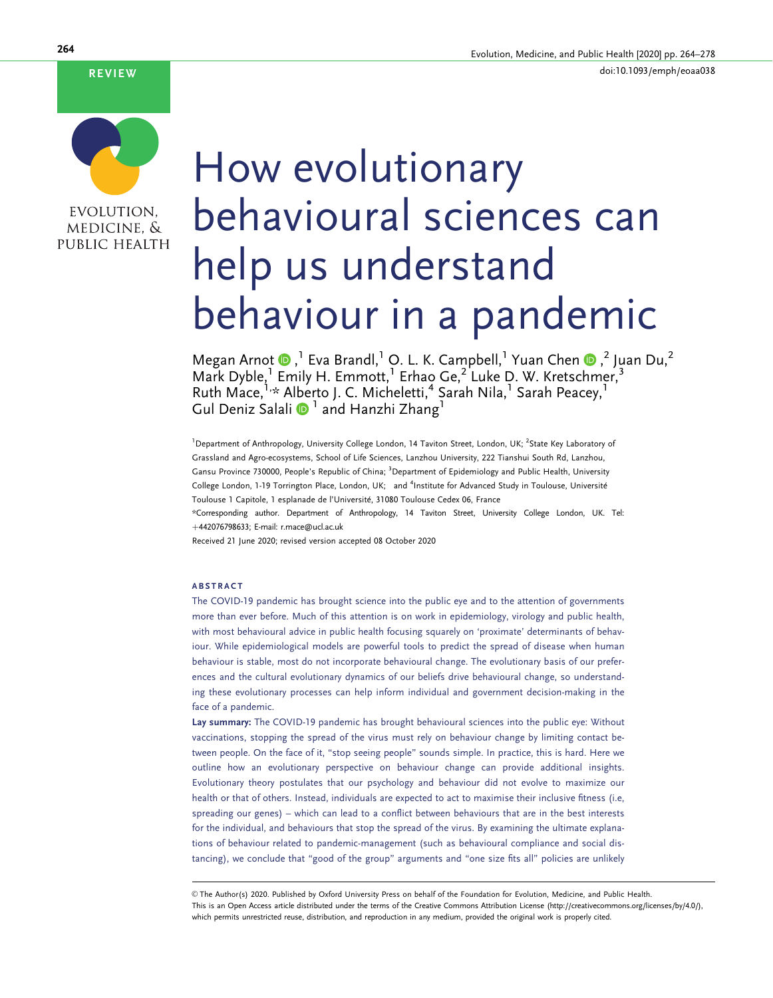#### REVIEW



# How evolutionary behavioural sciences can help us understand behaviour in a pandemic

Megan Arnot  $\bullet$ ,  $^1$  Eva Brandl, $^1$  O. L. K. Campbell, $^1$  Yuan Chen  $\bullet$ ,  $^2$  Juan Du, $^2$ Mark Dyble,<sup>1</sup> Emily H. Emmott,<sup>1</sup> Erhao Ge,<sup>2</sup> Luke D. W. Kretschmer,<sup>3</sup> Ruth Mace,<sup>1,\*</sup> Alberto J. C. Micheletti,<sup>4</sup> Sarah Nila,<sup>1</sup> Sarah Peacey,<sup>1</sup> Gul Deniz Salali 1 and Hanzhi Zhang<sup>1</sup>

<sup>1</sup> Department of Anthropology, University College London, 14 Taviton Street, London, UK; <sup>2</sup>State Key Laboratory of Grassland and Agro-ecosystems, School of Life Sciences, Lanzhou University, 222 Tianshui South Rd, Lanzhou, Gansu Province 730000, People's Republic of China; <sup>3</sup>Department of Epidemiology and Public Health, University College London, 1-19 Torrington Place, London, UK; and <sup>4</sup>Institute for Advanced Study in Toulouse, Université Toulouse 1 Capitole, 1 esplanade de l'Université, 31080 Toulouse Cedex 06, France

\*Corresponding author. Department of Anthropology, 14 Taviton Street, University College London, UK. Tel: þ442076798633; E-mail: r.mace@ucl.ac.uk

Received 21 June 2020; revised version accepted 08 October 2020

#### ABSTRACT

The COVID-19 pandemic has brought science into the public eye and to the attention of governments more than ever before. Much of this attention is on work in epidemiology, virology and public health, with most behavioural advice in public health focusing squarely on 'proximate' determinants of behaviour. While epidemiological models are powerful tools to predict the spread of disease when human behaviour is stable, most do not incorporate behavioural change. The evolutionary basis of our preferences and the cultural evolutionary dynamics of our beliefs drive behavioural change, so understanding these evolutionary processes can help inform individual and government decision-making in the face of a pandemic.

Lay summary: The COVID-19 pandemic has brought behavioural sciences into the public eye: Without vaccinations, stopping the spread of the virus must rely on behaviour change by limiting contact between people. On the face of it, "stop seeing people" sounds simple. In practice, this is hard. Here we outline how an evolutionary perspective on behaviour change can provide additional insights. Evolutionary theory postulates that our psychology and behaviour did not evolve to maximize our health or that of others. Instead, individuals are expected to act to maximise their inclusive fitness (i.e, spreading our genes) – which can lead to a conflict between behaviours that are in the best interests for the individual, and behaviours that stop the spread of the virus. By examining the ultimate explanations of behaviour related to pandemic-management (such as behavioural compliance and social distancing), we conclude that "good of the group" arguments and "one size fits all" policies are unlikely

V<sup>C</sup> The Author(s) 2020. Published by Oxford University Press on behalf of the Foundation for Evolution, Medicine, and Public Health. This is an Open Access article distributed under the terms of the Creative Commons Attribution License (http://creativecommons.org/licenses/by/4.0/), which permits unrestricted reuse, distribution, and reproduction in any medium, provided the original work is properly cited.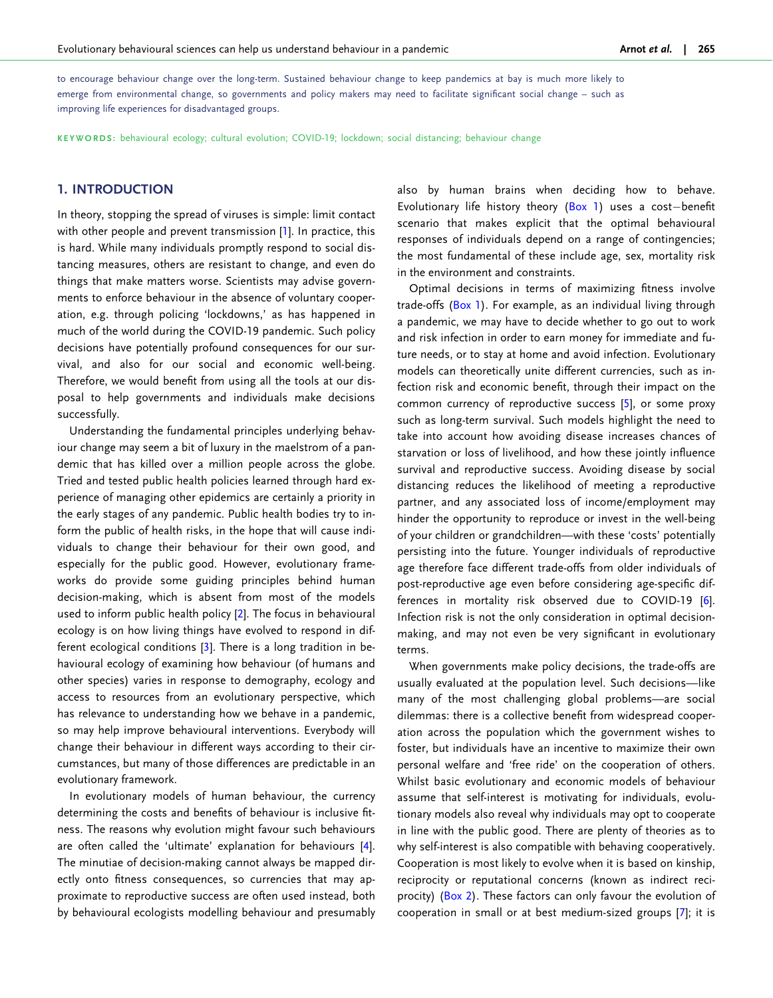<span id="page-1-0"></span>to encourage behaviour change over the long-term. Sustained behaviour change to keep pandemics at bay is much more likely to emerge from environmental change, so governments and policy makers may need to facilitate significant social change – such as improving life experiences for disadvantaged groups.

KEYWORDS: behavioural ecology; cultural evolution; COVID-19; lockdown; social distancing; behaviour change

#### 1. INTRODUCTION

In theory, stopping the spread of viruses is simple: limit contact with other people and prevent transmission [[1\]](#page-9-0). In practice, this is hard. While many individuals promptly respond to social distancing measures, others are resistant to change, and even do things that make matters worse. Scientists may advise governments to enforce behaviour in the absence of voluntary cooperation, e.g. through policing 'lockdowns,' as has happened in much of the world during the COVID-19 pandemic. Such policy decisions have potentially profound consequences for our survival, and also for our social and economic well-being. Therefore, we would benefit from using all the tools at our disposal to help governments and individuals make decisions successfully.

Understanding the fundamental principles underlying behaviour change may seem a bit of luxury in the maelstrom of a pandemic that has killed over a million people across the globe. Tried and tested public health policies learned through hard experience of managing other epidemics are certainly a priority in the early stages of any pandemic. Public health bodies try to inform the public of health risks, in the hope that will cause individuals to change their behaviour for their own good, and especially for the public good. However, evolutionary frameworks do provide some guiding principles behind human decision-making, which is absent from most of the models used to inform public health policy [\[2\]](#page-10-0). The focus in behavioural ecology is on how living things have evolved to respond in different ecological conditions [\[3](#page-10-0)]. There is a long tradition in behavioural ecology of examining how behaviour (of humans and other species) varies in response to demography, ecology and access to resources from an evolutionary perspective, which has relevance to understanding how we behave in a pandemic, so may help improve behavioural interventions. Everybody will change their behaviour in different ways according to their circumstances, but many of those differences are predictable in an evolutionary framework.

In evolutionary models of human behaviour, the currency determining the costs and benefits of behaviour is inclusive fitness. The reasons why evolution might favour such behaviours are often called the 'ultimate' explanation for behaviours [[4\]](#page-10-0). The minutiae of decision-making cannot always be mapped directly onto fitness consequences, so currencies that may approximate to reproductive success are often used instead, both by behavioural ecologists modelling behaviour and presumably also by human brains when deciding how to behave. Evolutionary life history theory  $(Box 1)$  $(Box 1)$  uses a cost-benefit scenario that makes explicit that the optimal behavioural responses of individuals depend on a range of contingencies; the most fundamental of these include age, sex, mortality risk in the environment and constraints.

Optimal decisions in terms of maximizing fitness involve trade-offs ([Box 1](#page-2-0)). For example, as an individual living through a pandemic, we may have to decide whether to go out to work and risk infection in order to earn money for immediate and future needs, or to stay at home and avoid infection. Evolutionary models can theoretically unite different currencies, such as infection risk and economic benefit, through their impact on the common currency of reproductive success [\[5](#page-10-0)], or some proxy such as long-term survival. Such models highlight the need to take into account how avoiding disease increases chances of starvation or loss of livelihood, and how these jointly influence survival and reproductive success. Avoiding disease by social distancing reduces the likelihood of meeting a reproductive partner, and any associated loss of income/employment may hinder the opportunity to reproduce or invest in the well-being of your children or grandchildren—with these 'costs' potentially persisting into the future. Younger individuals of reproductive age therefore face different trade-offs from older individuals of post-reproductive age even before considering age-specific differences in mortality risk observed due to COVID-19 [\[6](#page-10-0)]. Infection risk is not the only consideration in optimal decisionmaking, and may not even be very significant in evolutionary terms.

When governments make policy decisions, the trade-offs are usually evaluated at the population level. Such decisions—like many of the most challenging global problems—are social dilemmas: there is a collective benefit from widespread cooperation across the population which the government wishes to foster, but individuals have an incentive to maximize their own personal welfare and 'free ride' on the cooperation of others. Whilst basic evolutionary and economic models of behaviour assume that self-interest is motivating for individuals, evolutionary models also reveal why individuals may opt to cooperate in line with the public good. There are plenty of theories as to why self-interest is also compatible with behaving cooperatively. Cooperation is most likely to evolve when it is based on kinship, reciprocity or reputational concerns (known as indirect reciprocity) ([Box 2](#page-2-0)). These factors can only favour the evolution of cooperation in small or at best medium-sized groups [\[7](#page-10-0)]; it is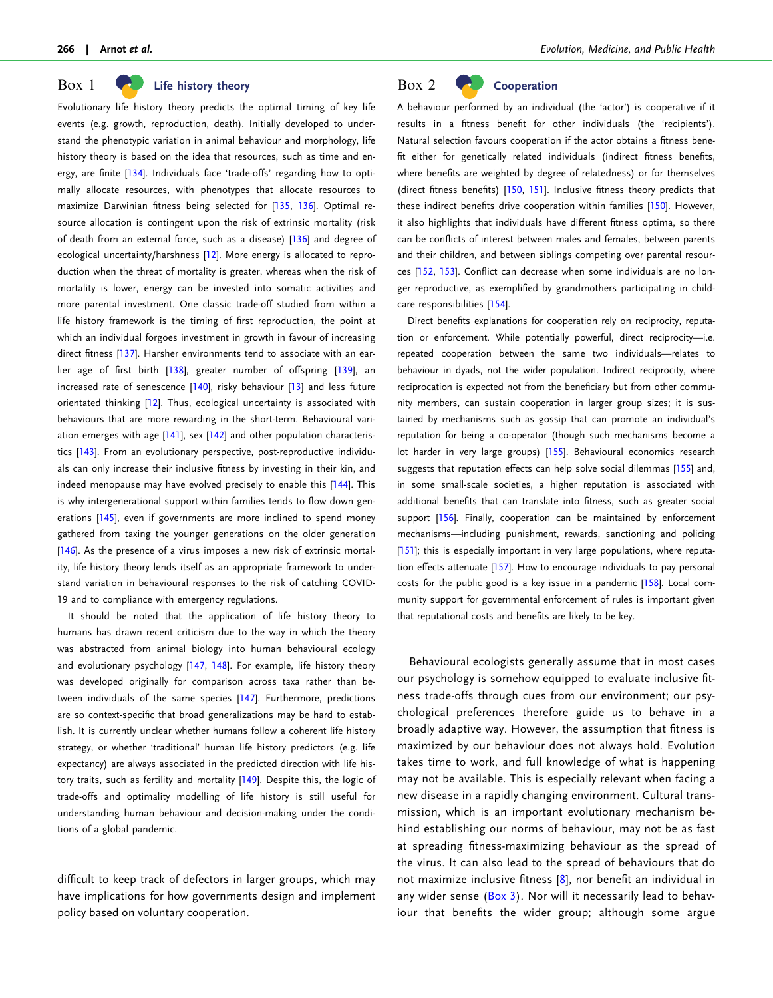#### <span id="page-2-0"></span> $Box$  1 Life history theory

Evolutionary life history theory predicts the optimal timing of key life events (e.g. growth, reproduction, death). Initially developed to understand the phenotypic variation in animal behaviour and morphology, life history theory is based on the idea that resources, such as time and en-ergy, are finite [[134](#page-13-0)]. Individuals face 'trade-offs' regarding how to optimally allocate resources, with phenotypes that allocate resources to maximize Darwinian fitness being selected for [[135](#page-13-0), [136](#page-13-0)]. Optimal resource allocation is contingent upon the risk of extrinsic mortality (risk of death from an external force, such as a disease) [\[136\]](#page-13-0) and degree of ecological uncertainty/harshness [\[12](#page-10-0)]. More energy is allocated to reproduction when the threat of mortality is greater, whereas when the risk of mortality is lower, energy can be invested into somatic activities and more parental investment. One classic trade-off studied from within a life history framework is the timing of first reproduction, the point at which an individual forgoes investment in growth in favour of increasing direct fitness [[137\]](#page-13-0). Harsher environments tend to associate with an earlier age of first birth [\[138\]](#page-13-0), greater number of offspring [\[139](#page-13-0)], an increased rate of senescence [[140\]](#page-13-0), risky behaviour [[13\]](#page-10-0) and less future orientated thinking [[12](#page-10-0)]. Thus, ecological uncertainty is associated with behaviours that are more rewarding in the short-term. Behavioural variation emerges with age [[141](#page-13-0)], sex [\[142\]](#page-13-0) and other population characteristics [[143\]](#page-13-0). From an evolutionary perspective, post-reproductive individuals can only increase their inclusive fitness by investing in their kin, and indeed menopause may have evolved precisely to enable this [[144\]](#page-13-0). This is why intergenerational support within families tends to flow down gen-erations [[145\]](#page-13-0), even if governments are more inclined to spend money gathered from taxing the younger generations on the older generation [\[146\]](#page-13-0). As the presence of a virus imposes a new risk of extrinsic mortality, life history theory lends itself as an appropriate framework to understand variation in behavioural responses to the risk of catching COVID-19 and to compliance with emergency regulations.

It should be noted that the application of life history theory to humans has drawn recent criticism due to the way in which the theory was abstracted from animal biology into human behavioural ecology and evolutionary psychology [[147](#page-13-0), [148](#page-13-0)]. For example, life history theory was developed originally for comparison across taxa rather than between individuals of the same species [[147](#page-13-0)]. Furthermore, predictions are so context-specific that broad generalizations may be hard to establish. It is currently unclear whether humans follow a coherent life history strategy, or whether 'traditional' human life history predictors (e.g. life expectancy) are always associated in the predicted direction with life his-tory traits, such as fertility and mortality [\[149\]](#page-13-0). Despite this, the logic of trade-offs and optimality modelling of life history is still useful for understanding human behaviour and decision-making under the conditions of a global pandemic.

difficult to keep track of defectors in larger groups, which may have implications for how governments design and implement policy based on voluntary cooperation.

# Box 2 Cooperation

A behaviour performed by an individual (the 'actor') is cooperative if it results in a fitness benefit for other individuals (the 'recipients'). Natural selection favours cooperation if the actor obtains a fitness benefit either for genetically related individuals (indirect fitness benefits, where benefits are weighted by degree of relatedness) or for themselves (direct fitness benefits) [\[150,](#page-13-0) [151](#page-13-0)]. Inclusive fitness theory predicts that these indirect benefits drive cooperation within families [\[150](#page-13-0)]. However, it also highlights that individuals have different fitness optima, so there can be conflicts of interest between males and females, between parents and their children, and between siblings competing over parental resources [\[152](#page-13-0), [153\]](#page-13-0). Conflict can decrease when some individuals are no longer reproductive, as exemplified by grandmothers participating in childcare responsibilities [\[154](#page-13-0)].

Direct benefits explanations for cooperation rely on reciprocity, reputation or enforcement. While potentially powerful, direct reciprocity—i.e. repeated cooperation between the same two individuals—relates to behaviour in dyads, not the wider population. Indirect reciprocity, where reciprocation is expected not from the beneficiary but from other community members, can sustain cooperation in larger group sizes; it is sustained by mechanisms such as gossip that can promote an individual's reputation for being a co-operator (though such mechanisms become a lot harder in very large groups) [\[155\]](#page-13-0). Behavioural economics research suggests that reputation effects can help solve social dilemmas [[155\]](#page-13-0) and, in some small-scale societies, a higher reputation is associated with additional benefits that can translate into fitness, such as greater social support [[156\]](#page-13-0). Finally, cooperation can be maintained by enforcement mechanisms—including punishment, rewards, sanctioning and policing [[151\]](#page-13-0); this is especially important in very large populations, where reputation effects attenuate [\[157](#page-13-0)]. How to encourage individuals to pay personal costs for the public good is a key issue in a pandemic [\[158](#page-13-0)]. Local community support for governmental enforcement of rules is important given that reputational costs and benefits are likely to be key.

Behavioural ecologists generally assume that in most cases our psychology is somehow equipped to evaluate inclusive fitness trade-offs through cues from our environment; our psychological preferences therefore guide us to behave in a broadly adaptive way. However, the assumption that fitness is maximized by our behaviour does not always hold. Evolution takes time to work, and full knowledge of what is happening may not be available. This is especially relevant when facing a new disease in a rapidly changing environment. Cultural transmission, which is an important evolutionary mechanism behind establishing our norms of behaviour, may not be as fast at spreading fitness-maximizing behaviour as the spread of the virus. It can also lead to the spread of behaviours that do not maximize inclusive fitness [[8](#page-10-0)], nor benefit an individual in any wider sense [\(Box 3](#page-3-0)). Nor will it necessarily lead to behaviour that benefits the wider group; although some argue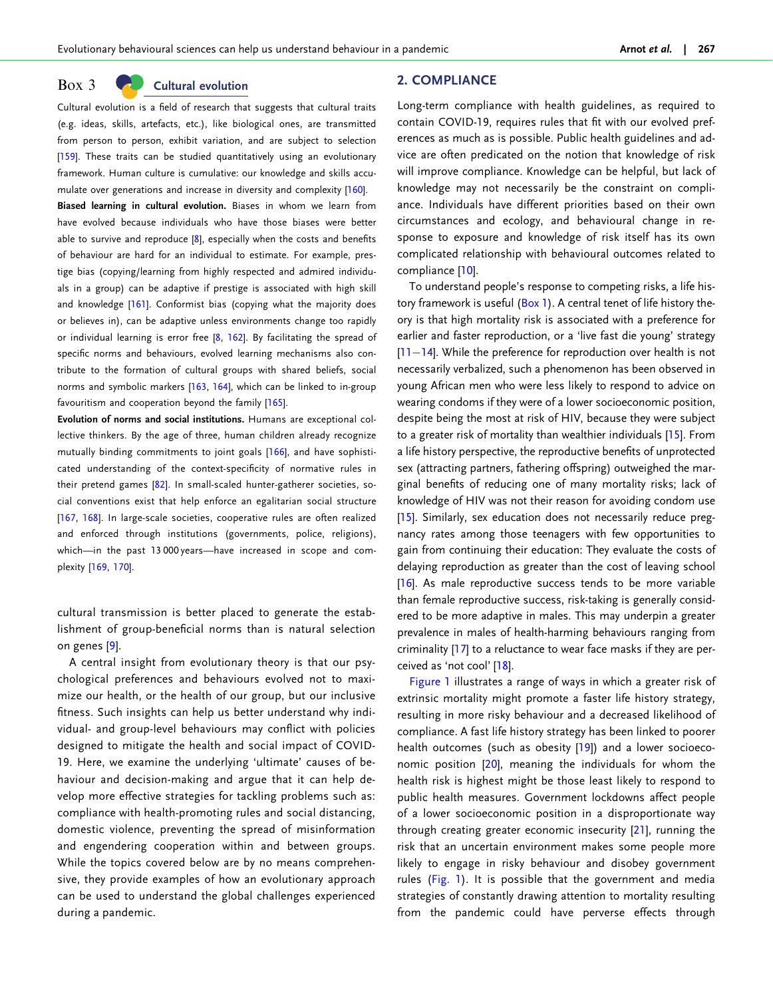#### <span id="page-3-0"></span> $Box$  3 Cultural evolution

Cultural evolution is a field of research that suggests that cultural traits (e.g. ideas, skills, artefacts, etc.), like biological ones, are transmitted from person to person, exhibit variation, and are subject to selection [\[159\]](#page-13-0). These traits can be studied quantitatively using an evolutionary framework. Human culture is cumulative: our knowledge and skills accumulate over generations and increase in diversity and complexity [\[160\]](#page-13-0). Biased learning in cultural evolution. Biases in whom we learn from have evolved because individuals who have those biases were better able to survive and reproduce [[8](#page-10-0)], especially when the costs and benefits of behaviour are hard for an individual to estimate. For example, prestige bias (copying/learning from highly respected and admired individuals in a group) can be adaptive if prestige is associated with high skill and knowledge [[161\]](#page-13-0). Conformist bias (copying what the majority does or believes in), can be adaptive unless environments change too rapidly or individual learning is error free [[8,](#page-10-0) [162\]](#page-13-0). By facilitating the spread of

specific norms and behaviours, evolved learning mechanisms also contribute to the formation of cultural groups with shared beliefs, social norms and symbolic markers [\[163,](#page-14-0) [164\]](#page-14-0), which can be linked to in-group favouritism and cooperation beyond the family [[165](#page-14-0)].

Evolution of norms and social institutions. Humans are exceptional collective thinkers. By the age of three, human children already recognize mutually binding commitments to joint goals [[166](#page-14-0)], and have sophisticated understanding of the context-specificity of normative rules in their pretend games [[82](#page-12-0)]. In small-scaled hunter-gatherer societies, social conventions exist that help enforce an egalitarian social structure [[167](#page-14-0), [168\]](#page-14-0). In large-scale societies, cooperative rules are often realized and enforced through institutions (governments, police, religions), which—in the past 13 000 years—have increased in scope and complexity [\[169,](#page-14-0) [170](#page-14-0)].

cultural transmission is better placed to generate the establishment of group-beneficial norms than is natural selection on genes [[9\]](#page-10-0).

A central insight from evolutionary theory is that our psychological preferences and behaviours evolved not to maximize our health, or the health of our group, but our inclusive fitness. Such insights can help us better understand why individual- and group-level behaviours may conflict with policies designed to mitigate the health and social impact of COVID-19. Here, we examine the underlying 'ultimate' causes of behaviour and decision-making and argue that it can help develop more effective strategies for tackling problems such as: compliance with health-promoting rules and social distancing, domestic violence, preventing the spread of misinformation and engendering cooperation within and between groups. While the topics covered below are by no means comprehensive, they provide examples of how an evolutionary approach can be used to understand the global challenges experienced during a pandemic.

#### 2. COMPLIANCE

Long-term compliance with health guidelines, as required to contain COVID-19, requires rules that fit with our evolved preferences as much as is possible. Public health guidelines and advice are often predicated on the notion that knowledge of risk will improve compliance. Knowledge can be helpful, but lack of knowledge may not necessarily be the constraint on compliance. Individuals have different priorities based on their own circumstances and ecology, and behavioural change in response to exposure and knowledge of risk itself has its own complicated relationship with behavioural outcomes related to compliance [\[10\]](#page-10-0).

To understand people's response to competing risks, a life his-tory framework is useful ([Box 1](#page-2-0)). A central tenet of life history theory is that high mortality risk is associated with a preference for earlier and faster reproduction, or a 'live fast die young' strategy [\[11](#page-10-0)-[14](#page-10-0)]. While the preference for reproduction over health is not necessarily verbalized, such a phenomenon has been observed in young African men who were less likely to respond to advice on wearing condoms if they were of a lower socioeconomic position, despite being the most at risk of HIV, because they were subject to a greater risk of mortality than wealthier individuals [[15\]](#page-10-0). From a life history perspective, the reproductive benefits of unprotected sex (attracting partners, fathering offspring) outweighed the marginal benefits of reducing one of many mortality risks; lack of knowledge of HIV was not their reason for avoiding condom use [\[15](#page-10-0)]. Similarly, sex education does not necessarily reduce pregnancy rates among those teenagers with few opportunities to gain from continuing their education: They evaluate the costs of delaying reproduction as greater than the cost of leaving school [\[16](#page-10-0)]. As male reproductive success tends to be more variable than female reproductive success, risk-taking is generally considered to be more adaptive in males. This may underpin a greater prevalence in males of health-harming behaviours ranging from criminality [\[17](#page-10-0)] to a reluctance to wear face masks if they are perceived as 'not cool' [\[18\]](#page-10-0).

[Figure 1](#page-4-0) illustrates a range of ways in which a greater risk of extrinsic mortality might promote a faster life history strategy, resulting in more risky behaviour and a decreased likelihood of compliance. A fast life history strategy has been linked to poorer health outcomes (such as obesity [[19](#page-10-0)]) and a lower socioeconomic position [\[20](#page-10-0)], meaning the individuals for whom the health risk is highest might be those least likely to respond to public health measures. Government lockdowns affect people of a lower socioeconomic position in a disproportionate way through creating greater economic insecurity [\[21\]](#page-10-0), running the risk that an uncertain environment makes some people more likely to engage in risky behaviour and disobey government rules ([Fig. 1\)](#page-4-0). It is possible that the government and media strategies of constantly drawing attention to mortality resulting from the pandemic could have perverse effects through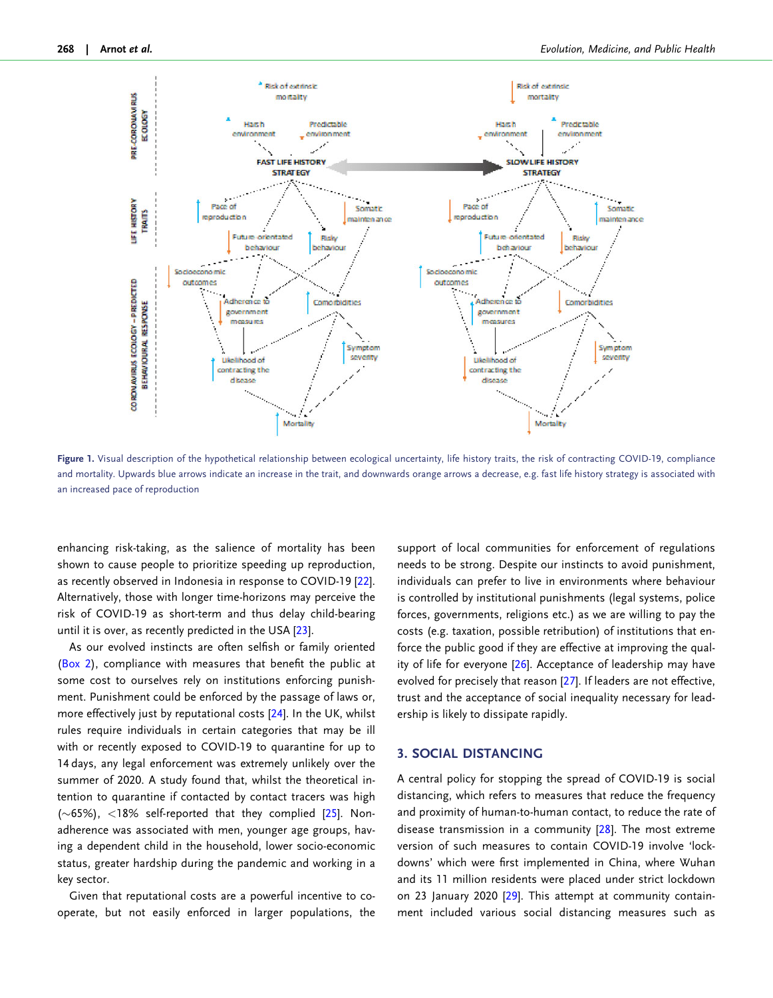<span id="page-4-0"></span>

Figure 1. Visual description of the hypothetical relationship between ecological uncertainty, life history traits, the risk of contracting COVID-19, compliance and mortality. Upwards blue arrows indicate an increase in the trait, and downwards orange arrows a decrease, e.g. fast life history strategy is associated with an increased pace of reproduction

enhancing risk-taking, as the salience of mortality has been shown to cause people to prioritize speeding up reproduction, as recently observed in Indonesia in response to COVID-19 [\[22\]](#page-10-0). Alternatively, those with longer time-horizons may perceive the risk of COVID-19 as short-term and thus delay child-bearing until it is over, as recently predicted in the USA [[23](#page-10-0)].

As our evolved instincts are often selfish or family oriented ([Box 2](#page-2-0)), compliance with measures that benefit the public at some cost to ourselves rely on institutions enforcing punishment. Punishment could be enforced by the passage of laws or, more effectively just by reputational costs [[24](#page-10-0)]. In the UK, whilst rules require individuals in certain categories that may be ill with or recently exposed to COVID-19 to quarantine for up to 14 days, any legal enforcement was extremely unlikely over the summer of 2020. A study found that, whilst the theoretical intention to quarantine if contacted by contact tracers was high ( $\sim$ 65%), <18% self-reported that they complied [[25](#page-10-0)]. Nonadherence was associated with men, younger age groups, having a dependent child in the household, lower socio-economic status, greater hardship during the pandemic and working in a key sector.

Given that reputational costs are a powerful incentive to cooperate, but not easily enforced in larger populations, the support of local communities for enforcement of regulations needs to be strong. Despite our instincts to avoid punishment, individuals can prefer to live in environments where behaviour is controlled by institutional punishments (legal systems, police forces, governments, religions etc.) as we are willing to pay the costs (e.g. taxation, possible retribution) of institutions that enforce the public good if they are effective at improving the qual-ity of life for everyone [[26](#page-10-0)]. Acceptance of leadership may have evolved for precisely that reason [\[27\]](#page-10-0). If leaders are not effective, trust and the acceptance of social inequality necessary for leadership is likely to dissipate rapidly.

#### 3. SOCIAL DISTANCING

A central policy for stopping the spread of COVID-19 is social distancing, which refers to measures that reduce the frequency and proximity of human-to-human contact, to reduce the rate of disease transmission in a community [[28](#page-10-0)]. The most extreme version of such measures to contain COVID-19 involve 'lockdowns' which were first implemented in China, where Wuhan and its 11 million residents were placed under strict lockdown on 23 January 2020 [[29](#page-10-0)]. This attempt at community containment included various social distancing measures such as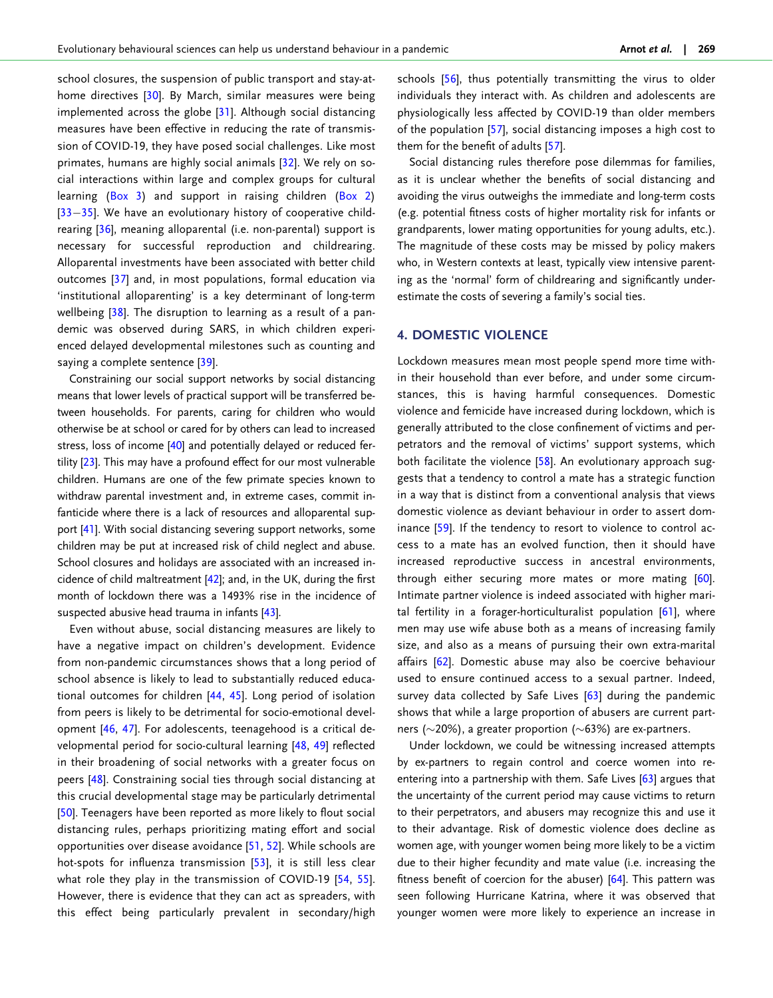<span id="page-5-0"></span>school closures, the suspension of public transport and stay-at-home directives [\[30\]](#page-10-0). By March, similar measures were being implemented across the globe [\[31\]](#page-10-0). Although social distancing measures have been effective in reducing the rate of transmission of COVID-19, they have posed social challenges. Like most primates, humans are highly social animals [[32](#page-10-0)]. We rely on social interactions within large and complex groups for cultural learning [\(Box 3\)](#page-3-0) and support in raising children [\(Box 2](#page-2-0)) [[33](#page-10-0)-[35](#page-10-0)]. We have an evolutionary history of cooperative childrearing [\[36\]](#page-10-0), meaning alloparental (i.e. non-parental) support is necessary for successful reproduction and childrearing. Alloparental investments have been associated with better child outcomes [\[37\]](#page-10-0) and, in most populations, formal education via 'institutional alloparenting' is a key determinant of long-term wellbeing [\[38\]](#page-10-0). The disruption to learning as a result of a pandemic was observed during SARS, in which children experienced delayed developmental milestones such as counting and saying a complete sentence [[39](#page-10-0)].

Constraining our social support networks by social distancing means that lower levels of practical support will be transferred between households. For parents, caring for children who would otherwise be at school or cared for by others can lead to increased stress, loss of income [\[40](#page-10-0)] and potentially delayed or reduced fer-tility [\[23](#page-10-0)]. This may have a profound effect for our most vulnerable children. Humans are one of the few primate species known to withdraw parental investment and, in extreme cases, commit infanticide where there is a lack of resources and alloparental support [\[41](#page-11-0)]. With social distancing severing support networks, some children may be put at increased risk of child neglect and abuse. School closures and holidays are associated with an increased incidence of child maltreatment [\[42\]](#page-11-0); and, in the UK, during the first month of lockdown there was a 1493% rise in the incidence of suspected abusive head trauma in infants [\[43](#page-11-0)].

Even without abuse, social distancing measures are likely to have a negative impact on children's development. Evidence from non-pandemic circumstances shows that a long period of school absence is likely to lead to substantially reduced educational outcomes for children [\[44,](#page-11-0) [45](#page-11-0)]. Long period of isolation from peers is likely to be detrimental for socio-emotional development [[46](#page-11-0), [47\]](#page-11-0). For adolescents, teenagehood is a critical developmental period for socio-cultural learning [[48](#page-11-0), [49](#page-11-0)] reflected in their broadening of social networks with a greater focus on peers [\[48\]](#page-11-0). Constraining social ties through social distancing at this crucial developmental stage may be particularly detrimental [[50](#page-11-0)]. Teenagers have been reported as more likely to flout social distancing rules, perhaps prioritizing mating effort and social opportunities over disease avoidance [[51](#page-11-0), [52\]](#page-11-0). While schools are hot-spots for influenza transmission [\[53\]](#page-11-0), it is still less clear what role they play in the transmission of COVID-19 [[54](#page-11-0), [55\]](#page-11-0). However, there is evidence that they can act as spreaders, with this effect being particularly prevalent in secondary/high

schools [\[56\]](#page-11-0), thus potentially transmitting the virus to older individuals they interact with. As children and adolescents are physiologically less affected by COVID-19 than older members of the population [[57](#page-11-0)], social distancing imposes a high cost to them for the benefit of adults [\[57\]](#page-11-0).

Social distancing rules therefore pose dilemmas for families, as it is unclear whether the benefits of social distancing and avoiding the virus outweighs the immediate and long-term costs (e.g. potential fitness costs of higher mortality risk for infants or grandparents, lower mating opportunities for young adults, etc.). The magnitude of these costs may be missed by policy makers who, in Western contexts at least, typically view intensive parenting as the 'normal' form of childrearing and significantly underestimate the costs of severing a family's social ties.

#### 4. DOMESTIC VIOLENCE

Lockdown measures mean most people spend more time within their household than ever before, and under some circumstances, this is having harmful consequences. Domestic violence and femicide have increased during lockdown, which is generally attributed to the close confinement of victims and perpetrators and the removal of victims' support systems, which both facilitate the violence  $[58]$  $[58]$  $[58]$ . An evolutionary approach suggests that a tendency to control a mate has a strategic function in a way that is distinct from a conventional analysis that views domestic violence as deviant behaviour in order to assert dominance [[59](#page-11-0)]. If the tendency to resort to violence to control access to a mate has an evolved function, then it should have increased reproductive success in ancestral environments, through either securing more mates or more mating [[60](#page-11-0)]. Intimate partner violence is indeed associated with higher marital fertility in a forager-horticulturalist population [[61](#page-11-0)], where men may use wife abuse both as a means of increasing family size, and also as a means of pursuing their own extra-marital affairs [[62](#page-11-0)]. Domestic abuse may also be coercive behaviour used to ensure continued access to a sexual partner. Indeed, survey data collected by Safe Lives [\[63\]](#page-11-0) during the pandemic shows that while a large proportion of abusers are current partners ( $\sim$ 20%), a greater proportion ( $\sim$ 63%) are ex-partners.

Under lockdown, we could be witnessing increased attempts by ex-partners to regain control and coerce women into reentering into a partnership with them. Safe Lives [[63](#page-11-0)] argues that the uncertainty of the current period may cause victims to return to their perpetrators, and abusers may recognize this and use it to their advantage. Risk of domestic violence does decline as women age, with younger women being more likely to be a victim due to their higher fecundity and mate value (i.e. increasing the fitness benefit of coercion for the abuser) [\[64](#page-11-0)]. This pattern was seen following Hurricane Katrina, where it was observed that younger women were more likely to experience an increase in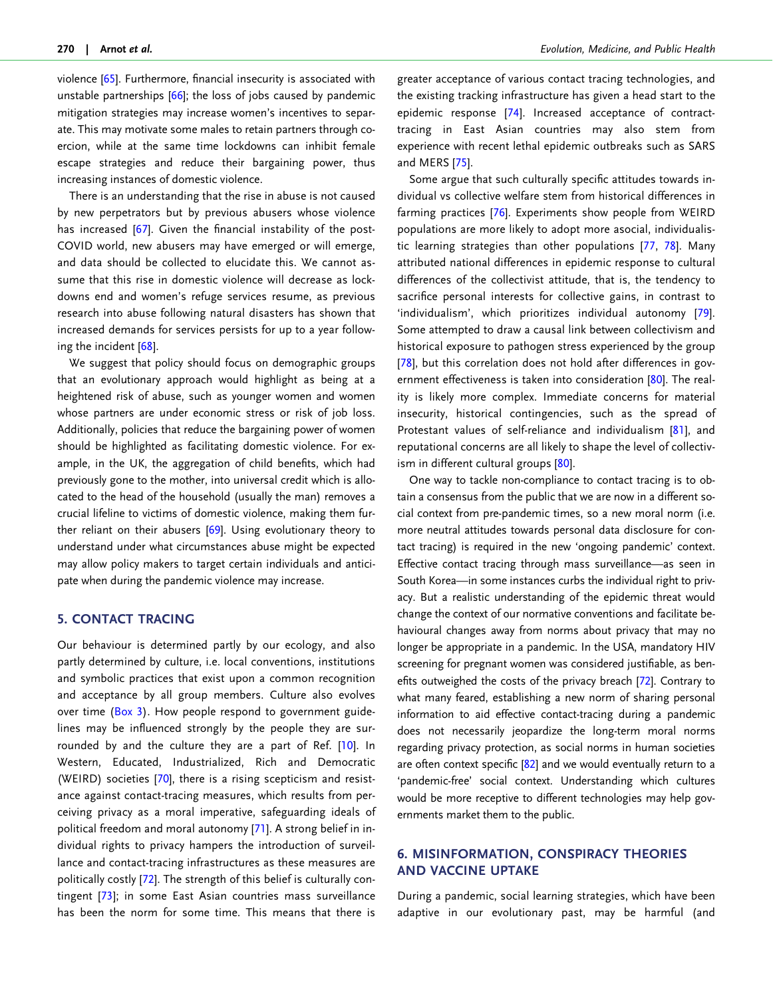<span id="page-6-0"></span>violence [\[65](#page-11-0)]. Furthermore, financial insecurity is associated with unstable partnerships [[66\]](#page-11-0); the loss of jobs caused by pandemic mitigation strategies may increase women's incentives to separate. This may motivate some males to retain partners through coercion, while at the same time lockdowns can inhibit female escape strategies and reduce their bargaining power, thus increasing instances of domestic violence.

There is an understanding that the rise in abuse is not caused by new perpetrators but by previous abusers whose violence has increased [[67](#page-11-0)]. Given the financial instability of the post-COVID world, new abusers may have emerged or will emerge, and data should be collected to elucidate this. We cannot assume that this rise in domestic violence will decrease as lockdowns end and women's refuge services resume, as previous research into abuse following natural disasters has shown that increased demands for services persists for up to a year following the incident [[68](#page-11-0)].

We suggest that policy should focus on demographic groups that an evolutionary approach would highlight as being at a heightened risk of abuse, such as younger women and women whose partners are under economic stress or risk of job loss. Additionally, policies that reduce the bargaining power of women should be highlighted as facilitating domestic violence. For example, in the UK, the aggregation of child benefits, which had previously gone to the mother, into universal credit which is allocated to the head of the household (usually the man) removes a crucial lifeline to victims of domestic violence, making them fur-ther reliant on their abusers [\[69\]](#page-11-0). Using evolutionary theory to understand under what circumstances abuse might be expected may allow policy makers to target certain individuals and anticipate when during the pandemic violence may increase.

#### 5. CONTACT TRACING

Our behaviour is determined partly by our ecology, and also partly determined by culture, i.e. local conventions, institutions and symbolic practices that exist upon a common recognition and acceptance by all group members. Culture also evolves over time [\(Box 3](#page-3-0)). How people respond to government guidelines may be influenced strongly by the people they are surrounded by and the culture they are a part of Ref. [\[10\]](#page-10-0). In Western, Educated, Industrialized, Rich and Democratic (WEIRD) societies [\[70](#page-11-0)], there is a rising scepticism and resistance against contact-tracing measures, which results from perceiving privacy as a moral imperative, safeguarding ideals of political freedom and moral autonomy [\[71](#page-11-0)]. A strong belief in individual rights to privacy hampers the introduction of surveillance and contact-tracing infrastructures as these measures are politically costly [[72](#page-11-0)]. The strength of this belief is culturally contingent [[73\]](#page-11-0); in some East Asian countries mass surveillance has been the norm for some time. This means that there is

greater acceptance of various contact tracing technologies, and the existing tracking infrastructure has given a head start to the epidemic response [\[74\]](#page-11-0). Increased acceptance of contracttracing in East Asian countries may also stem from experience with recent lethal epidemic outbreaks such as SARS and MERS [[75](#page-11-0)].

Some argue that such culturally specific attitudes towards individual vs collective welfare stem from historical differences in farming practices [[76](#page-11-0)]. Experiments show people from WEIRD populations are more likely to adopt more asocial, individualistic learning strategies than other populations [[77](#page-11-0), [78\]](#page-12-0). Many attributed national differences in epidemic response to cultural differences of the collectivist attitude, that is, the tendency to sacrifice personal interests for collective gains, in contrast to 'individualism', which prioritizes individual autonomy [[79](#page-12-0)]. Some attempted to draw a causal link between collectivism and historical exposure to pathogen stress experienced by the group [\[78\]](#page-12-0), but this correlation does not hold after differences in government effectiveness is taken into consideration [\[80\]](#page-12-0). The reality is likely more complex. Immediate concerns for material insecurity, historical contingencies, such as the spread of Protestant values of self-reliance and individualism [\[81\]](#page-12-0), and reputational concerns are all likely to shape the level of collectiv-ism in different cultural groups [[80](#page-12-0)].

One way to tackle non-compliance to contact tracing is to obtain a consensus from the public that we are now in a different social context from pre-pandemic times, so a new moral norm (i.e. more neutral attitudes towards personal data disclosure for contact tracing) is required in the new 'ongoing pandemic' context. Effective contact tracing through mass surveillance—as seen in South Korea—in some instances curbs the individual right to privacy. But a realistic understanding of the epidemic threat would change the context of our normative conventions and facilitate behavioural changes away from norms about privacy that may no longer be appropriate in a pandemic. In the USA, mandatory HIV screening for pregnant women was considered justifiable, as benefits outweighed the costs of the privacy breach [\[72\]](#page-11-0). Contrary to what many feared, establishing a new norm of sharing personal information to aid effective contact-tracing during a pandemic does not necessarily jeopardize the long-term moral norms regarding privacy protection, as social norms in human societies are often context specific  $[82]$  $[82]$  and we would eventually return to a 'pandemic-free' social context. Understanding which cultures would be more receptive to different technologies may help governments market them to the public.

# 6. MISINFORMATION, CONSPIRACY THEORIES AND VACCINE UPTAKE

During a pandemic, social learning strategies, which have been adaptive in our evolutionary past, may be harmful (and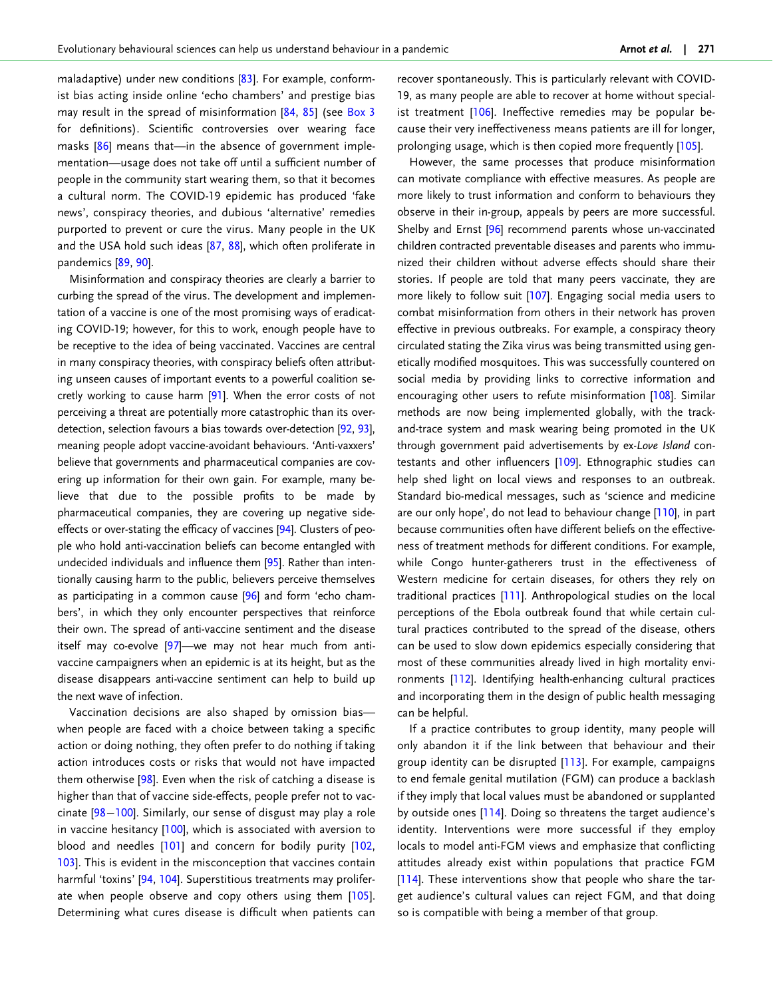<span id="page-7-0"></span>maladaptive) under new conditions [[83](#page-12-0)]. For example, conformist bias acting inside online 'echo chambers' and prestige bias may result in the spread of misinformation [[84](#page-12-0), [85](#page-12-0)] (see [Box 3](#page-3-0) for definitions). Scientific controversies over wearing face masks [[86](#page-12-0)] means that—in the absence of government implementation—usage does not take off until a sufficient number of people in the community start wearing them, so that it becomes a cultural norm. The COVID-19 epidemic has produced 'fake news', conspiracy theories, and dubious 'alternative' remedies purported to prevent or cure the virus. Many people in the UK and the USA hold such ideas [\[87,](#page-12-0) [88](#page-12-0)], which often proliferate in pandemics [[89](#page-12-0), [90](#page-12-0)].

Misinformation and conspiracy theories are clearly a barrier to curbing the spread of the virus. The development and implementation of a vaccine is one of the most promising ways of eradicating COVID-19; however, for this to work, enough people have to be receptive to the idea of being vaccinated. Vaccines are central in many conspiracy theories, with conspiracy beliefs often attributing unseen causes of important events to a powerful coalition secretly working to cause harm [\[91\]](#page-12-0). When the error costs of not perceiving a threat are potentially more catastrophic than its overdetection, selection favours a bias towards over-detection [[92,](#page-12-0) [93\]](#page-12-0), meaning people adopt vaccine-avoidant behaviours. 'Anti-vaxxers' believe that governments and pharmaceutical companies are covering up information for their own gain. For example, many believe that due to the possible profits to be made by pharmaceutical companies, they are covering up negative sideeffects or over-stating the efficacy of vaccines [\[94\]](#page-12-0). Clusters of people who hold anti-vaccination beliefs can become entangled with undecided individuals and influence them [[95\]](#page-12-0). Rather than intentionally causing harm to the public, believers perceive themselves as participating in a common cause [\[96\]](#page-12-0) and form 'echo chambers', in which they only encounter perspectives that reinforce their own. The spread of anti-vaccine sentiment and the disease itself may co-evolve [[97\]](#page-12-0)—we may not hear much from antivaccine campaigners when an epidemic is at its height, but as the disease disappears anti-vaccine sentiment can help to build up the next wave of infection.

Vaccination decisions are also shaped by omission bias when people are faced with a choice between taking a specific action or doing nothing, they often prefer to do nothing if taking action introduces costs or risks that would not have impacted them otherwise [[98](#page-12-0)]. Even when the risk of catching a disease is higher than that of vaccine side-effects, people prefer not to vaccinate [\[98](#page-12-0)-[100\]](#page-12-0). Similarly, our sense of disgust may play a role in vaccine hesitancy [[100\]](#page-12-0), which is associated with aversion to blood and needles [[101\]](#page-12-0) and concern for bodily purity [[102](#page-12-0), [103\]](#page-12-0). This is evident in the misconception that vaccines contain harmful 'toxins' [[94](#page-12-0), [104](#page-12-0)]. Superstitious treatments may prolifer-ate when people observe and copy others using them [\[105\]](#page-12-0). Determining what cures disease is difficult when patients can

recover spontaneously. This is particularly relevant with COVID-19, as many people are able to recover at home without special-ist treatment [[106\]](#page-12-0). Ineffective remedies may be popular because their very ineffectiveness means patients are ill for longer, prolonging usage, which is then copied more frequently [[105\]](#page-12-0).

However, the same processes that produce misinformation can motivate compliance with effective measures. As people are more likely to trust information and conform to behaviours they observe in their in-group, appeals by peers are more successful. Shelby and Ernst [\[96\]](#page-12-0) recommend parents whose un-vaccinated children contracted preventable diseases and parents who immunized their children without adverse effects should share their stories. If people are told that many peers vaccinate, they are more likely to follow suit <a>[\[107](#page-12-0)]</a>. Engaging social media users to combat misinformation from others in their network has proven effective in previous outbreaks. For example, a conspiracy theory circulated stating the Zika virus was being transmitted using genetically modified mosquitoes. This was successfully countered on social media by providing links to corrective information and encouraging other users to refute misinformation [[108\]](#page-12-0). Similar methods are now being implemented globally, with the trackand-trace system and mask wearing being promoted in the UK through government paid advertisements by ex-Love Island contestants and other influencers [\[109](#page-12-0)]. Ethnographic studies can help shed light on local views and responses to an outbreak. Standard bio-medical messages, such as 'science and medicine are our only hope', do not lead to behaviour change [\[110](#page-12-0)], in part because communities often have different beliefs on the effectiveness of treatment methods for different conditions. For example, while Congo hunter-gatherers trust in the effectiveness of Western medicine for certain diseases, for others they rely on traditional practices [\[111](#page-12-0)]. Anthropological studies on the local perceptions of the Ebola outbreak found that while certain cultural practices contributed to the spread of the disease, others can be used to slow down epidemics especially considering that most of these communities already lived in high mortality environments [\[112](#page-12-0)]. Identifying health-enhancing cultural practices and incorporating them in the design of public health messaging can be helpful.

If a practice contributes to group identity, many people will only abandon it if the link between that behaviour and their group identity can be disrupted [[113](#page-12-0)]. For example, campaigns to end female genital mutilation (FGM) can produce a backlash if they imply that local values must be abandoned or supplanted by outside ones [[114](#page-12-0)]. Doing so threatens the target audience's identity. Interventions were more successful if they employ locals to model anti-FGM views and emphasize that conflicting attitudes already exist within populations that practice FGM [\[114](#page-12-0)]. These interventions show that people who share the target audience's cultural values can reject FGM, and that doing so is compatible with being a member of that group.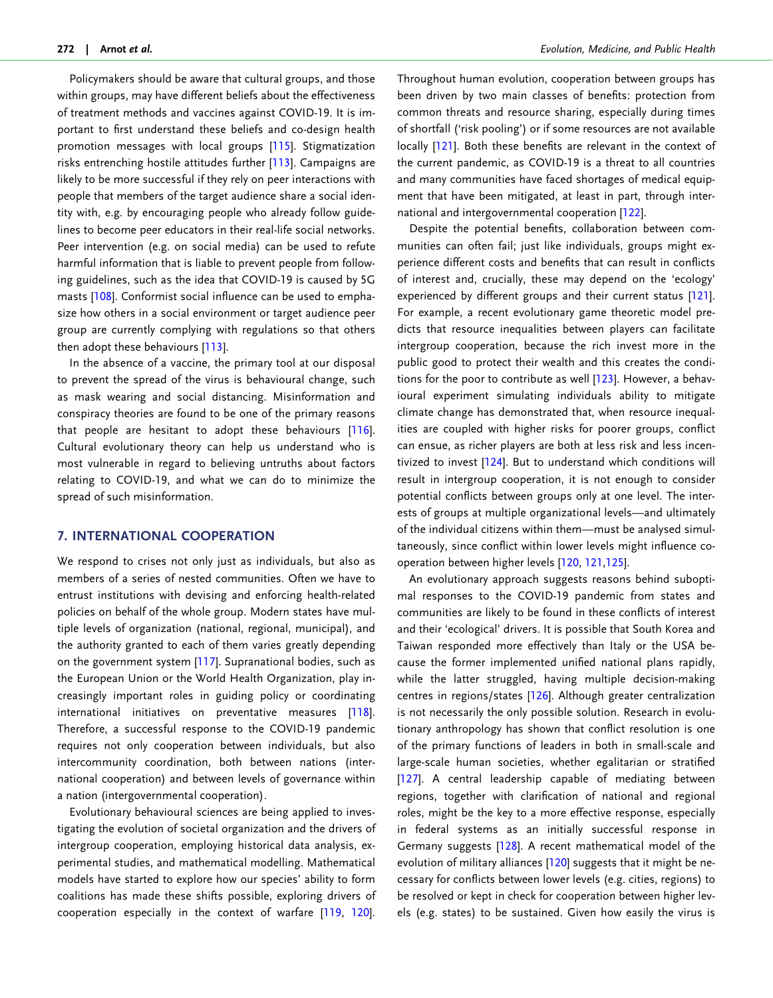<span id="page-8-0"></span>Policymakers should be aware that cultural groups, and those within groups, may have different beliefs about the effectiveness of treatment methods and vaccines against COVID-19. It is important to first understand these beliefs and co-design health promotion messages with local groups [[115](#page-12-0)]. Stigmatization risks entrenching hostile attitudes further [[113](#page-12-0)]. Campaigns are likely to be more successful if they rely on peer interactions with people that members of the target audience share a social identity with, e.g. by encouraging people who already follow guidelines to become peer educators in their real-life social networks. Peer intervention (e.g. on social media) can be used to refute harmful information that is liable to prevent people from following guidelines, such as the idea that COVID-19 is caused by 5G masts [\[108\]](#page-12-0). Conformist social influence can be used to emphasize how others in a social environment or target audience peer group are currently complying with regulations so that others then adopt these behaviours [\[113\]](#page-12-0).

In the absence of a vaccine, the primary tool at our disposal to prevent the spread of the virus is behavioural change, such as mask wearing and social distancing. Misinformation and conspiracy theories are found to be one of the primary reasons that people are hesitant to adopt these behaviours [\[116\]](#page-12-0). Cultural evolutionary theory can help us understand who is most vulnerable in regard to believing untruths about factors relating to COVID-19, and what we can do to minimize the spread of such misinformation.

### 7. INTERNATIONAL COOPERATION

We respond to crises not only just as individuals, but also as members of a series of nested communities. Often we have to entrust institutions with devising and enforcing health-related policies on behalf of the whole group. Modern states have multiple levels of organization (national, regional, municipal), and the authority granted to each of them varies greatly depending on the government system [\[117\]](#page-12-0). Supranational bodies, such as the European Union or the World Health Organization, play increasingly important roles in guiding policy or coordinating international initiatives on preventative measures [\[118\]](#page-12-0). Therefore, a successful response to the COVID-19 pandemic requires not only cooperation between individuals, but also intercommunity coordination, both between nations (international cooperation) and between levels of governance within a nation (intergovernmental cooperation).

Evolutionary behavioural sciences are being applied to investigating the evolution of societal organization and the drivers of intergroup cooperation, employing historical data analysis, experimental studies, and mathematical modelling. Mathematical models have started to explore how our species' ability to form coalitions has made these shifts possible, exploring drivers of cooperation especially in the context of warfare [\[119,](#page-12-0) [120\]](#page-12-0).

Throughout human evolution, cooperation between groups has been driven by two main classes of benefits: protection from common threats and resource sharing, especially during times of shortfall ('risk pooling') or if some resources are not available locally [\[121\]](#page-13-0). Both these benefits are relevant in the context of the current pandemic, as COVID-19 is a threat to all countries and many communities have faced shortages of medical equipment that have been mitigated, at least in part, through international and intergovernmental cooperation [\[122\]](#page-13-0).

Despite the potential benefits, collaboration between communities can often fail; just like individuals, groups might experience different costs and benefits that can result in conflicts of interest and, crucially, these may depend on the 'ecology' experienced by different groups and their current status [[121](#page-13-0)]. For example, a recent evolutionary game theoretic model predicts that resource inequalities between players can facilitate intergroup cooperation, because the rich invest more in the public good to protect their wealth and this creates the conditions for the poor to contribute as well [\[123](#page-13-0)]. However, a behavioural experiment simulating individuals ability to mitigate climate change has demonstrated that, when resource inequalities are coupled with higher risks for poorer groups, conflict can ensue, as richer players are both at less risk and less incentivized to invest [[124](#page-13-0)]. But to understand which conditions will result in intergroup cooperation, it is not enough to consider potential conflicts between groups only at one level. The interests of groups at multiple organizational levels—and ultimately of the individual citizens within them—must be analysed simultaneously, since conflict within lower levels might influence cooperation between higher levels [[120,](#page-12-0) [121,125](#page-13-0)].

An evolutionary approach suggests reasons behind suboptimal responses to the COVID-19 pandemic from states and communities are likely to be found in these conflicts of interest and their 'ecological' drivers. It is possible that South Korea and Taiwan responded more effectively than Italy or the USA because the former implemented unified national plans rapidly, while the latter struggled, having multiple decision-making centres in regions/states [\[126\]](#page-13-0). Although greater centralization is not necessarily the only possible solution. Research in evolutionary anthropology has shown that conflict resolution is one of the primary functions of leaders in both in small-scale and large-scale human societies, whether egalitarian or stratified [\[127](#page-13-0)]. A central leadership capable of mediating between regions, together with clarification of national and regional roles, might be the key to a more effective response, especially in federal systems as an initially successful response in Germany suggests [[128](#page-13-0)]. A recent mathematical model of the evolution of military alliances [[120](#page-12-0)] suggests that it might be necessary for conflicts between lower levels (e.g. cities, regions) to be resolved or kept in check for cooperation between higher levels (e.g. states) to be sustained. Given how easily the virus is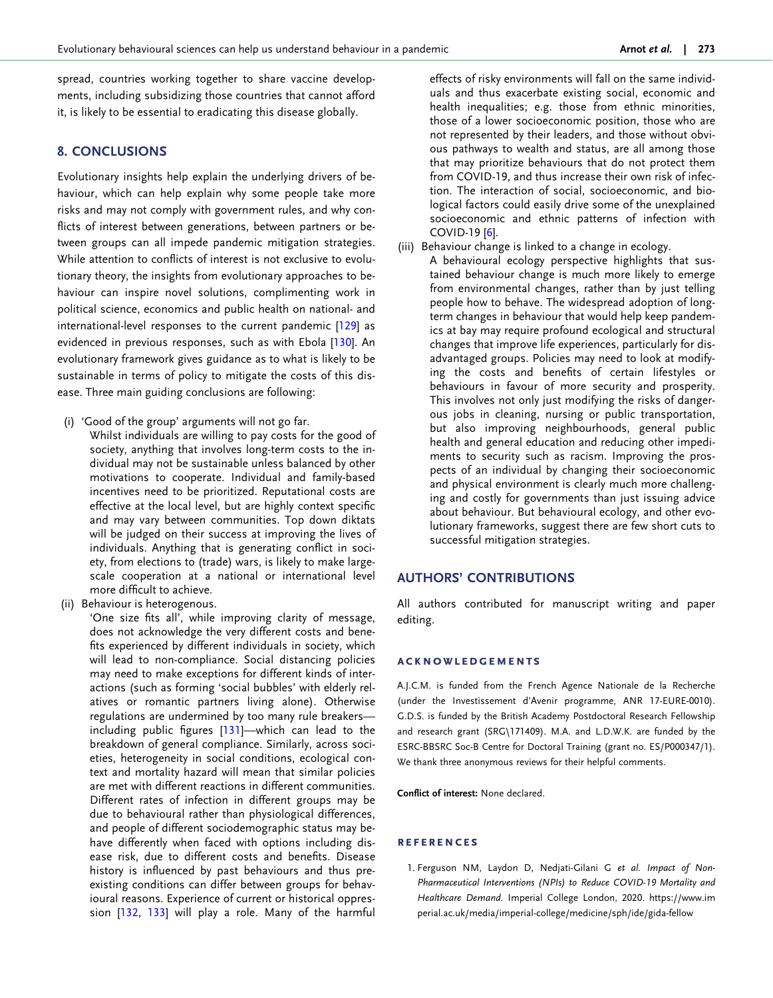<span id="page-9-0"></span>spread, countries working together to share vaccine developments, including subsidizing those countries that cannot afford it, is likely to be essential to eradicating this disease globally.

## 8. CONCLUSIONS

Evolutionary insights help explain the underlying drivers of behaviour, which can help explain why some people take more risks and may not comply with government rules, and why conflicts of interest between generations, between partners or between groups can all impede pandemic mitigation strategies. While attention to conflicts of interest is not exclusive to evolutionary theory, the insights from evolutionary approaches to behaviour can inspire novel solutions, complimenting work in political science, economics and public health on national- and international-level responses to the current pandemic [\[129\]](#page-13-0) as evidenced in previous responses, such as with Ebola [\[130\]](#page-13-0). An evolutionary framework gives guidance as to what is likely to be sustainable in terms of policy to mitigate the costs of this disease. Three main guiding conclusions are following:

- (i) 'Good of the group' arguments will not go far.
	- Whilst individuals are willing to pay costs for the good of society, anything that involves long-term costs to the individual may not be sustainable unless balanced by other motivations to cooperate. Individual and family-based incentives need to be prioritized. Reputational costs are effective at the local level, but are highly context specific and may vary between communities. Top down diktats will be judged on their success at improving the lives of individuals. Anything that is generating conflict in society, from elections to (trade) wars, is likely to make largescale cooperation at a national or international level more difficult to achieve.
- (ii) Behaviour is heterogenous.

'One size fits all', while improving clarity of message, does not acknowledge the very different costs and benefits experienced by different individuals in society, which will lead to non-compliance. Social distancing policies may need to make exceptions for different kinds of interactions (such as forming 'social bubbles' with elderly relatives or romantic partners living alone). Otherwise regulations are undermined by too many rule breakers including public figures [[131\]](#page-13-0)—which can lead to the breakdown of general compliance. Similarly, across societies, heterogeneity in social conditions, ecological context and mortality hazard will mean that similar policies are met with different reactions in different communities. Different rates of infection in different groups may be due to behavioural rather than physiological differences, and people of different sociodemographic status may behave differently when faced with options including disease risk, due to different costs and benefits. Disease history is influenced by past behaviours and thus preexisting conditions can differ between groups for behavioural reasons. Experience of current or historical oppression [\[132,](#page-13-0) [133](#page-13-0)] will play a role. Many of the harmful

effects of risky environments will fall on the same individuals and thus exacerbate existing social, economic and health inequalities; e.g. those from ethnic minorities, those of a lower socioeconomic position, those who are not represented by their leaders, and those without obvious pathways to wealth and status, are all among those that may prioritize behaviours that do not protect them from COVID-19, and thus increase their own risk of infection. The interaction of social, socioeconomic, and biological factors could easily drive some of the unexplained socioeconomic and ethnic patterns of infection with COVID-19 [[6](#page-10-0)].

- (iii) Behaviour change is linked to a change in ecology.
	- A behavioural ecology perspective highlights that sustained behaviour change is much more likely to emerge from environmental changes, rather than by just telling people how to behave. The widespread adoption of longterm changes in behaviour that would help keep pandemics at bay may require profound ecological and structural changes that improve life experiences, particularly for disadvantaged groups. Policies may need to look at modifying the costs and benefits of certain lifestyles or behaviours in favour of more security and prosperity. This involves not only just modifying the risks of dangerous jobs in cleaning, nursing or public transportation, but also improving neighbourhoods, general public health and general education and reducing other impediments to security such as racism. Improving the prospects of an individual by changing their socioeconomic and physical environment is clearly much more challenging and costly for governments than just issuing advice about behaviour. But behavioural ecology, and other evolutionary frameworks, suggest there are few short cuts to successful mitigation strategies.

#### AUTHORS' CONTRIBUTIONS

All authors contributed for manuscript writing and paper editing.

#### acknowledgements

A.J.C.M. is funded from the French Agence Nationale de la Recherche (under the Investissement d'Avenir programme, ANR 17-EURE-0010). G.D.S. is funded by the British Academy Postdoctoral Research Fellowship and research grant (SRG\171409). M.A. and L.D.W.K. are funded by the ESRC-BBSRC Soc-B Centre for Doctoral Training (grant no. ES/P000347/1). We thank three anonymous reviews for their helpful comments.

Conflict of interest: None declared.

#### **REFERENCES**

[1.](#page-1-0) Ferguson NM, Laydon D, Nedjati-Gilani G et al. Impact of Non-Pharmaceutical Interventions (NPIs) to Reduce COVID-19 Mortality and Healthcare Demand. Imperial College London, 2020. [https://www.im](https://www.imperial.ac.uk/media/imperial-college/medicine/sph/ide/gida-fellowships/Imperial-College-COVID19-NPI-modelling-16-03-2020.pdf) [perial.ac.uk/media/imperial-college/medicine/sph/ide/gida-fellow](https://www.imperial.ac.uk/media/imperial-college/medicine/sph/ide/gida-fellowships/Imperial-College-COVID19-NPI-modelling-16-03-2020.pdf)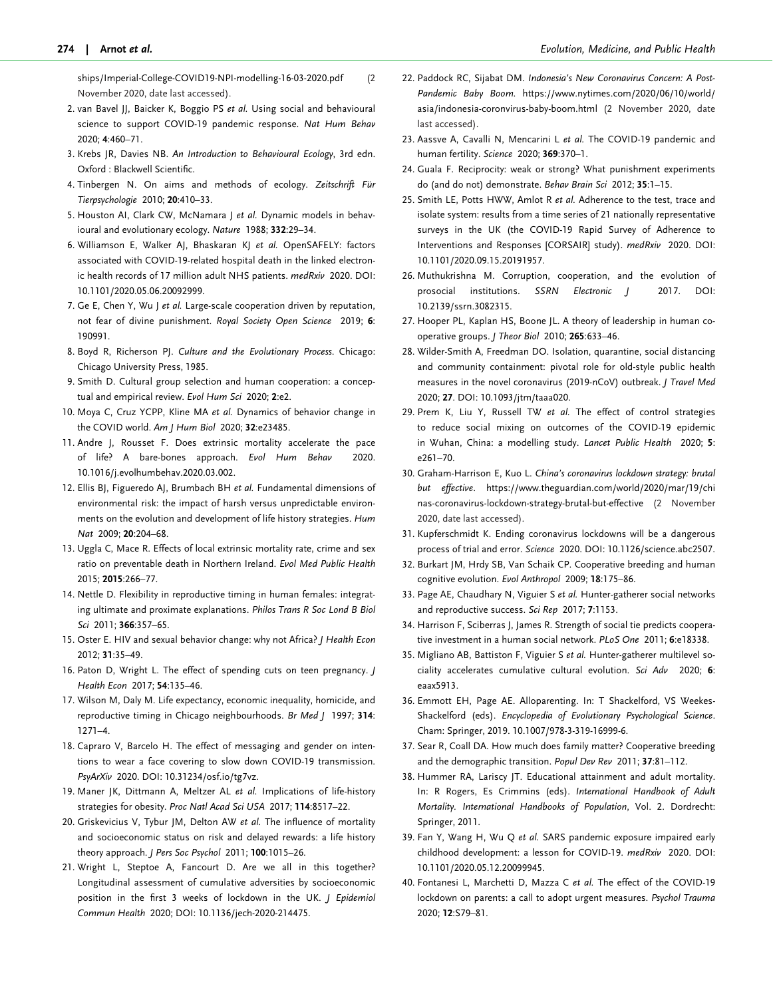<span id="page-10-0"></span>[ships/Imperial-College-COVID19-NPI-modelling-16-03-2020.pdf](https://www.imperial.ac.uk/media/imperial-college/medicine/sph/ide/gida-fellowships/Imperial-College-COVID19-NPI-modelling-16-03-2020.pdf) (2 November 2020, date last accessed).

- [2](#page-1-0). van Bavel JJ, Baicker K, Boggio PS et al. Using social and behavioural science to support COVID-19 pandemic response. Nat Hum Behav 2020; 4:460–71.
- [3](#page-1-0). Krebs JR, Davies NB. An Introduction to Behavioural Ecology, 3rd edn. Oxford : Blackwell Scientific.
- [4](#page-1-0). Tinbergen N. On aims and methods of ecology. Zeitschrift Für Tierpsychologie 2010; 20:410–33.
- [5](#page-1-0). Houston AI, Clark CW, McNamara J et al. Dynamic models in behavioural and evolutionary ecology. Nature 1988; 332:29–34.
- [6](#page-1-0). Williamson E, Walker AJ, Bhaskaran KJ et al. OpenSAFELY: factors associated with COVID-19-related hospital death in the linked electronic health records of 17 million adult NHS patients. medRxiv 2020. DOI: 10.1101/2020.05.06.20092999.
- [7](#page-1-0). Ge E, Chen Y, Wu | et al. Large-scale cooperation driven by reputation, not fear of divine punishment. Royal Society Open Science 2019; 6: 190991.
- [8](#page-2-0). Boyd R, Richerson PJ. Culture and the Evolutionary Process. Chicago: Chicago University Press, 1985.
- [9](#page-3-0). Smith D. Cultural group selection and human cooperation: a conceptual and empirical review. Evol Hum Sci 2020; 2:e2.
- [10](#page-3-0). Moya C, Cruz YCPP, Kline MA et al. Dynamics of behavior change in the COVID world. Am J Hum Biol 2020; 32:e23485.
- [11](#page-3-0). Andre J, Rousset F. Does extrinsic mortality accelerate the pace of life? A bare-bones approach. Evol Hum Behav 2020. 10.1016/j.evolhumbehav.2020.03.002.
- [12](#page-2-0). Ellis BJ, Figueredo AJ, Brumbach BH et al. Fundamental dimensions of environmental risk: the impact of harsh versus unpredictable environments on the evolution and development of life history strategies. Hum Nat 2009; 20:204–68.
- [13](#page-2-0). Uggla C, Mace R. Effects of local extrinsic mortality rate, crime and sex ratio on preventable death in Northern Ireland. Evol Med Public Health 2015; 2015:266–77.
- [14](#page-3-0). Nettle D. Flexibility in reproductive timing in human females: integrating ultimate and proximate explanations. Philos Trans R Soc Lond B Biol Sci 2011; 366:357–65.
- [15](#page-3-0). Oster E. HIV and sexual behavior change: why not Africa? J Health Econ 2012; 31:35–49.
- [16](#page-3-0). Paton D, Wright L. The effect of spending cuts on teen pregnancy. J Health Econ 2017; 54:135–46.
- [17](#page-3-0). Wilson M, Daly M. Life expectancy, economic inequality, homicide, and reproductive timing in Chicago neighbourhoods. Br Med J 1997; 314: 1271–4.
- [18](#page-3-0). Capraro V, Barcelo H. The effect of messaging and gender on intentions to wear a face covering to slow down COVID-19 transmission. PsyArXiv 2020. DOI: 10.31234/osf.io/tg7vz.
- [19](#page-3-0). Maner JK, Dittmann A, Meltzer AL et al. Implications of life-history strategies for obesity. Proc Natl Acad Sci USA 2017; 114:8517–22.
- [20](#page-3-0). Griskevicius V, Tybur JM, Delton AW et al. The influence of mortality and socioeconomic status on risk and delayed rewards: a life history theory approach. J Pers Soc Psychol 2011; 100:1015-26.
- [21](#page-3-0). Wright L, Steptoe A, Fancourt D. Are we all in this together? Longitudinal assessment of cumulative adversities by socioeconomic position in the first 3 weeks of lockdown in the UK. *| Epidemiol* Commun Health 2020; DOI: 10.1136/jech-2020-214475.
- [22.](#page-4-0) Paddock RC, Sijabat DM. Indonesia's New Coronavirus Concern: A Post-Pandemic Baby Boom. [https://www.nytimes.com/2020/06/10/world/](https://www.nytimes.com/2020/06/10/world/asia/indonesia-coronvirus-baby-boom.html) [asia/indonesia-coronvirus-baby-boom.html](https://www.nytimes.com/2020/06/10/world/asia/indonesia-coronvirus-baby-boom.html) (2 November 2020, date last accessed).
- [23.](#page-4-0) Aassve A, Cavalli N, Mencarini L et al. The COVID-19 pandemic and human fertility. Science 2020; 369:370-1.
- [24.](#page-4-0) Guala F. Reciprocity: weak or strong? What punishment experiments do (and do not) demonstrate. Behav Brain Sci 2012; 35:1–15.
- [25.](#page-4-0) Smith LE, Potts HWW, Amlot R et al. Adherence to the test, trace and isolate system: results from a time series of 21 nationally representative surveys in the UK (the COVID-19 Rapid Survey of Adherence to Interventions and Responses [CORSAIR] study). medRxiv 2020. DOI: 10.1101/2020.09.15.20191957.
- [26.](#page-4-0) Muthukrishna M. Corruption, cooperation, and the evolution of prosocial institutions. SSRN Electronic J 2017. DOI: 10.2139/ssrn.3082315.
- [27.](#page-4-0) Hooper PL, Kaplan HS, Boone JL. A theory of leadership in human cooperative groups. J Theor Biol 2010; 265:633–46.
- [28.](#page-4-0) Wilder-Smith A, Freedman DO. Isolation, quarantine, social distancing and community containment: pivotal role for old-style public health measures in the novel coronavirus (2019-nCoV) outbreak. J Travel Med 2020; 27. DOI: 10.1093/jtm/taaa020.
- [29.](#page-4-0) Prem K, Liu Y, Russell TW et al. The effect of control strategies to reduce social mixing on outcomes of the COVID-19 epidemic in Wuhan, China: a modelling study. Lancet Public Health 2020; 5: e261–70.
- [30.](#page-5-0) Graham-Harrison E, Kuo L. China's coronavirus lockdown strategy: brutal but effective. [https://www.theguardian.com/world/2020/mar/19/chi](https://www.theguardian.com/world/2020/mar/19/chinas-coronavirus-lockdown-strategy-brutal-but-effective) [nas-coronavirus-lockdown-strategy-brutal-but-effective](https://www.theguardian.com/world/2020/mar/19/chinas-coronavirus-lockdown-strategy-brutal-but-effective) (2 November 2020, date last accessed).
- [31.](#page-5-0) Kupferschmidt K. Ending coronavirus lockdowns will be a dangerous process of trial and error. Science 2020. DOI: 10.1126/science.abc2507.
- [32.](#page-5-0) Burkart JM, Hrdy SB, Van Schaik CP. Cooperative breeding and human cognitive evolution. Evol Anthropol 2009; 18:175–86.
- [33.](#page-5-0) Page AE, Chaudhary N, Viguier S et al. Hunter-gatherer social networks and reproductive success. Sci Rep 2017; 7:1153.
- 34. Harrison F, Sciberras J, James R. Strength of social tie predicts cooperative investment in a human social network. PLoS One 2011; 6:e18338.
- [35.](#page-5-0) Migliano AB, Battiston F, Viguier S et al. Hunter-gatherer multilevel sociality accelerates cumulative cultural evolution. Sci Adv 2020; 6: eaax5913.
- [36.](#page-5-0) Emmott EH, Page AE. Alloparenting. In: T Shackelford, VS Weekes-Shackelford (eds). Encyclopedia of Evolutionary Psychological Science. Cham: Springer, 2019. 10.1007/978-3-319-16999-6.
- [37.](#page-5-0) Sear R, Coall DA. How much does family matter? Cooperative breeding and the demographic transition. Popul Dev Rev 2011; 37:81–112.
- [38.](#page-5-0) Hummer RA, Lariscy JT. Educational attainment and adult mortality. In: R Rogers, Es Crimmins (eds). International Handbook of Adult Mortality. International Handbooks of Population, Vol. 2. Dordrecht: Springer, 2011.
- [39.](#page-5-0) Fan Y, Wang H, Wu Q et al. SARS pandemic exposure impaired early childhood development: a lesson for COVID-19. medRxiv 2020. DOI: 10.1101/2020.05.12.20099945.
- [40.](#page-5-0) Fontanesi L, Marchetti D, Mazza C et al. The effect of the COVID-19 lockdown on parents: a call to adopt urgent measures. Psychol Trauma 2020; 12:S79–81.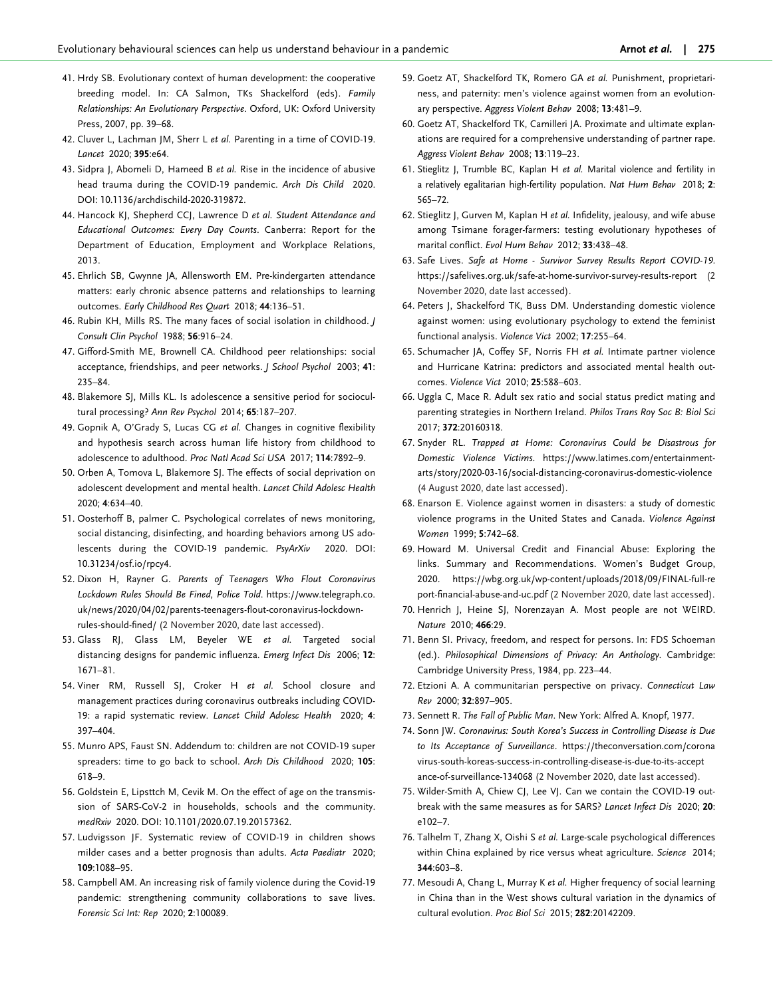- <span id="page-11-0"></span>[41](#page-5-0). Hrdy SB. Evolutionary context of human development: the cooperative breeding model. In: CA Salmon, TKs Shackelford (eds). Family Relationships: An Evolutionary Perspective. Oxford, UK: Oxford University Press, 2007, pp. 39–68.
- [42](#page-5-0). Cluver L, Lachman JM, Sherr L et al. Parenting in a time of COVID-19. Lancet 2020; 395:e64.
- [43](#page-5-0). Sidpra J, Abomeli D, Hameed B et al. Rise in the incidence of abusive head trauma during the COVID-19 pandemic. Arch Dis Child 2020. DOI: 10.1136/archdischild-2020-319872.
- [44](#page-5-0). Hancock KJ, Shepherd CCJ, Lawrence D et al. Student Attendance and Educational Outcomes: Every Day Counts. Canberra: Report for the Department of Education, Employment and Workplace Relations, 2013.
- [45](#page-5-0). Ehrlich SB, Gwynne JA, Allensworth EM. Pre-kindergarten attendance matters: early chronic absence patterns and relationships to learning outcomes. Early Childhood Res Quart 2018; 44:136–51.
- [46](#page-5-0). Rubin KH, Mills RS. The many faces of social isolation in childhood. J Consult Clin Psychol 1988; 56:916–24.
- [47](#page-5-0). Gifford-Smith ME, Brownell CA. Childhood peer relationships: social acceptance, friendships, and peer networks. J School Psychol 2003; 41: 235–84.
- [48](#page-5-0). Blakemore SJ, Mills KL. Is adolescence a sensitive period for sociocultural processing? Ann Rev Psychol 2014; 65:187–207.
- [49](#page-5-0). Gopnik A, O'Grady S, Lucas CG et al. Changes in cognitive flexibility and hypothesis search across human life history from childhood to adolescence to adulthood. Proc Natl Acad Sci USA 2017; 114:7892–9.
- [50](#page-5-0). Orben A, Tomova L, Blakemore SJ. The effects of social deprivation on adolescent development and mental health. Lancet Child Adolesc Health 2020; 4:634–40.
- [51](#page-5-0). Oosterhoff B, palmer C. Psychological correlates of news monitoring, social distancing, disinfecting, and hoarding behaviors among US adolescents during the COVID-19 pandemic. PsyArXiv 2020. DOI: 10.31234/osf.io/rpcy4.
- [52](#page-5-0). Dixon H, Rayner G. Parents of Teenagers Who Flout Coronavirus Lockdown Rules Should Be Fined, Police Told. [https://www.telegraph.co.](https://www.telegraph.co.uk/news/2020/04/02/parents-teenagers-flout-coronavirus-lockdown-rules-should-fined/) [uk/news/2020/04/02/parents-teenagers-flout-coronavirus-lockdown](https://www.telegraph.co.uk/news/2020/04/02/parents-teenagers-flout-coronavirus-lockdown-rules-should-fined/)[rules-should-fined/](https://www.telegraph.co.uk/news/2020/04/02/parents-teenagers-flout-coronavirus-lockdown-rules-should-fined/) (2 November 2020, date last accessed).
- [53](#page-5-0). Glass RJ, Glass LM, Beyeler WE et al. Targeted social distancing designs for pandemic influenza. Emerg Infect Dis 2006; 12: 1671–81.
- [54](#page-5-0). Viner RM, Russell SJ, Croker H et al. School closure and management practices during coronavirus outbreaks including COVID-19: a rapid systematic review. Lancet Child Adolesc Health 2020; 4: 397–404.
- [55](#page-5-0). Munro APS, Faust SN. Addendum to: children are not COVID-19 super spreaders: time to go back to school. Arch Dis Childhood 2020; 105: 618–9.
- [56](#page-5-0). Goldstein E, Lipsttch M, Cevik M. On the effect of age on the transmission of SARS-CoV-2 in households, schools and the community. medRxiv 2020. DOI: 10.1101/2020.07.19.20157362.
- [57](#page-5-0). Ludvigsson JF. Systematic review of COVID-19 in children shows milder cases and a better prognosis than adults. Acta Paediatr 2020; 109:1088–95.
- [58](#page-5-0). Campbell AM. An increasing risk of family violence during the Covid-19 pandemic: strengthening community collaborations to save lives. Forensic Sci Int: Rep 2020; 2:100089.
- [59.](#page-5-0) Goetz AT, Shackelford TK, Romero GA et al. Punishment, proprietariness, and paternity: men's violence against women from an evolutionary perspective. Aggress Violent Behav 2008; 13:481–9.
- [60.](#page-5-0) Goetz AT, Shackelford TK, Camilleri JA. Proximate and ultimate explanations are required for a comprehensive understanding of partner rape. Aggress Violent Behav 2008; 13:119–23.
- [61.](#page-5-0) Stieglitz J, Trumble BC, Kaplan H et al. Marital violence and fertility in a relatively egalitarian high-fertility population. Nat Hum Behav 2018; 2: 565–72.
- [62.](#page-5-0) Stieglitz J, Gurven M, Kaplan H et al. Infidelity, jealousy, and wife abuse among Tsimane forager-farmers: testing evolutionary hypotheses of marital conflict. Evol Hum Behav 2012; 33:438–48.
- [63.](#page-5-0) Safe Lives. Safe at Home Survivor Survey Results Report COVID-19. <https://safelives.org.uk/safe-at-home-survivor-survey-results-report> (2 November 2020, date last accessed).
- [64.](#page-5-0) Peters J, Shackelford TK, Buss DM. Understanding domestic violence against women: using evolutionary psychology to extend the feminist functional analysis. Violence Vict 2002; 17:255–64.
- [65.](#page-6-0) Schumacher JA, Coffey SF, Norris FH et al. Intimate partner violence and Hurricane Katrina: predictors and associated mental health outcomes. Violence Vict 2010; 25:588–603.
- [66.](#page-6-0) Uggla C, Mace R. Adult sex ratio and social status predict mating and parenting strategies in Northern Ireland. Philos Trans Roy Soc B: Biol Sci 2017; 372:20160318.
- [67.](#page-6-0) Snyder RL. Trapped at Home: Coronavirus Could be Disastrous for Domestic Violence Victims. [https://www.latimes.com/entertainment](https://www.latimes.com/entertainment-arts/story/2020-03-16/social-distancing-coronavirus-domestic-violence)[arts/story/2020-03-16/social-distancing-coronavirus-domestic-violence](https://www.latimes.com/entertainment-arts/story/2020-03-16/social-distancing-coronavirus-domestic-violence) (4 August 2020, date last accessed).
- [68.](#page-6-0) Enarson E. Violence against women in disasters: a study of domestic violence programs in the United States and Canada. Violence Against Women 1999; 5:742–68.
- [69.](#page-6-0) Howard M. Universal Credit and Financial Abuse: Exploring the links. Summary and Recommendations. Women's Budget Group, 2020. [https://wbg.org.uk/wp-content/uploads/2018/09/FINAL-full-re](https://wbg.org.uk/wp-content/uploads/2018/09/FINAL-full-report-financial-abuse-and-uc.pdf) [port-financial-abuse-and-uc.pdf](https://wbg.org.uk/wp-content/uploads/2018/09/FINAL-full-report-financial-abuse-and-uc.pdf) (2 November 2020, date last accessed).
- [70.](#page-6-0) Henrich J, Heine SJ, Norenzayan A. Most people are not WEIRD. Nature 2010; 466:29.
- [71.](#page-6-0) Benn SI. Privacy, freedom, and respect for persons. In: FDS Schoeman (ed.). Philosophical Dimensions of Privacy: An Anthology. Cambridge: Cambridge University Press, 1984, pp. 223–44.
- [72.](#page-6-0) Etzioni A. A communitarian perspective on privacy. Connecticut Law Rev 2000; 32:897–905.
- [73.](#page-6-0) Sennett R. The Fall of Public Man. New York: Alfred A. Knopf, 1977.
- [74.](#page-6-0) Sonn JW. Coronavirus: South Korea's Success in Controlling Disease is Due to Its Acceptance of Surveillance. [https://theconversation.com/corona](https://theconversation.com/coronavirus-south-koreas-success-in-controlling-disease-is-due-to-its-acceptance-of-surveillance-134068) [virus-south-koreas-success-in-controlling-disease-is-due-to-its-accept](https://theconversation.com/coronavirus-south-koreas-success-in-controlling-disease-is-due-to-its-acceptance-of-surveillance-134068) [ance-of-surveillance-134068](https://theconversation.com/coronavirus-south-koreas-success-in-controlling-disease-is-due-to-its-acceptance-of-surveillance-134068) (2 November 2020, date last accessed).
- [75.](#page-6-0) Wilder-Smith A, Chiew CJ, Lee VJ. Can we contain the COVID-19 outbreak with the same measures as for SARS? Lancet Infect Dis 2020; 20: e102–7.
- [76.](#page-6-0) Talhelm T, Zhang X, Oishi S et al. Large-scale psychological differences within China explained by rice versus wheat agriculture. Science 2014; 344:603–8.
- [77.](#page-6-0) Mesoudi A, Chang L, Murray K et al. Higher frequency of social learning in China than in the West shows cultural variation in the dynamics of cultural evolution. Proc Biol Sci 2015; 282:20142209.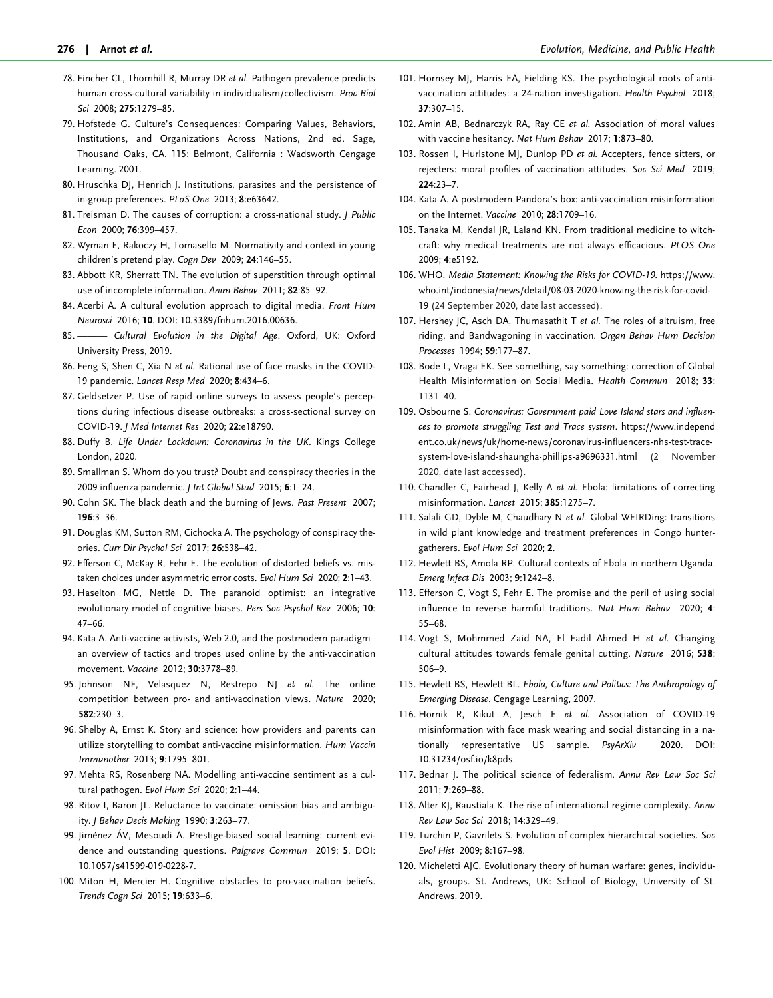- <span id="page-12-0"></span>[78](#page-6-0). Fincher CL, Thornhill R, Murray DR et al. Pathogen prevalence predicts human cross-cultural variability in individualism/collectivism. Proc Biol Sci 2008; 275:1279–85.
- [79](#page-6-0). Hofstede G. Culture's Consequences: Comparing Values, Behaviors, Institutions, and Organizations Across Nations, 2nd ed. Sage, Thousand Oaks, CA. 115: Belmont, California : Wadsworth Cengage Learning. 2001.
- [80](#page-6-0). Hruschka DJ, Henrich J. Institutions, parasites and the persistence of in-group preferences. PLoS One 2013; 8:e63642.
- [81](#page-6-0). Treisman D. The causes of corruption: a cross-national study. J Public Econ 2000; 76:399–457.
- [82](#page-3-0). Wyman E, Rakoczy H, Tomasello M. Normativity and context in young children's pretend play. Cogn Dev 2009; 24:146–55.
- [83](#page-7-0). Abbott KR, Sherratt TN. The evolution of superstition through optimal use of incomplete information. Anim Behav 2011; 82:85–92.
- [84](#page-7-0). Acerbi A. A cultural evolution approach to digital media. Front Hum Neurosci 2016; 10. DOI: 10.3389/fnhum.2016.00636.
- [85](#page-7-0). ——— Cultural Evolution in the Digital Age. Oxford, UK: Oxford University Press, 2019.
- [86](#page-7-0). Feng S, Shen C, Xia N et al. Rational use of face masks in the COVID-19 pandemic. Lancet Resp Med 2020; 8:434–6.
- [87](#page-7-0). Geldsetzer P. Use of rapid online surveys to assess people's perceptions during infectious disease outbreaks: a cross-sectional survey on COVID-19. J Med Internet Res 2020; 22:e18790.
- [88](#page-7-0). Duffy B. Life Under Lockdown: Coronavirus in the UK. Kings College London, 2020.
- [89](#page-7-0). Smallman S. Whom do you trust? Doubt and conspiracy theories in the 2009 influenza pandemic. J Int Global Stud 2015; 6:1–24.
- [90](#page-7-0). Cohn SK. The black death and the burning of Jews. Past Present 2007; 196:3–36.
- [91](#page-7-0). Douglas KM, Sutton RM, Cichocka A. The psychology of conspiracy theories. Curr Dir Psychol Sci 2017; 26:538–42.
- [92](#page-7-0). Efferson C, McKay R, Fehr E. The evolution of distorted beliefs vs. mistaken choices under asymmetric error costs. Evol Hum Sci 2020; 2:1-43.
- [93](#page-7-0). Haselton MG, Nettle D. The paranoid optimist: an integrative evolutionary model of cognitive biases. Pers Soc Psychol Rev 2006; 10: 47–66.
- [94](#page-7-0). Kata A. Anti-vaccine activists, Web 2.0, and the postmodern paradigm– an overview of tactics and tropes used online by the anti-vaccination movement. Vaccine 2012; 30:3778–89.
- [95](#page-7-0). Johnson NF, Velasquez N, Restrepo NJ et al. The online competition between pro- and anti-vaccination views. Nature 2020; 582:230–3.
- [96](#page-7-0). Shelby A, Ernst K. Story and science: how providers and parents can utilize storytelling to combat anti-vaccine misinformation. Hum Vaccin Immunother 2013; 9:1795–801.
- [97](#page-7-0). Mehta RS, Rosenberg NA. Modelling anti-vaccine sentiment as a cultural pathogen. Evol Hum Sci 2020; 2:1–44.
- [98](#page-7-0). Ritov I, Baron JL. Reluctance to vaccinate: omission bias and ambiguity. J Behav Decis Making 1990; 3:263–77.
- 99. Jiménez ÁV, Mesoudi A. Prestige-biased social learning: current evidence and outstanding questions. Palgrave Commun 2019; 5. DOI: 10.1057/s41599-019-0228-7.
- [100](#page-7-0). Miton H, Mercier H. Cognitive obstacles to pro-vaccination beliefs. Trends Cogn Sci 2015; 19:633–6.
- [101.](#page-7-0) Hornsey MJ, Harris EA, Fielding KS. The psychological roots of antivaccination attitudes: a 24-nation investigation. Health Psychol 2018; 37:307–15.
- [102.](#page-7-0) Amin AB, Bednarczyk RA, Ray CE et al. Association of moral values with vaccine hesitancy. Nat Hum Behav 2017; 1:873–80.
- [103.](#page-7-0) Rossen J. Hurlstone MJ, Dunlop PD et al. Accepters, fence sitters, or rejecters: moral profiles of vaccination attitudes. Soc Sci Med 2019;  $224.23 - 7$
- [104.](#page-7-0) Kata A. A postmodern Pandora's box: anti-vaccination misinformation on the Internet. Vaccine 2010; 28:1709–16.
- [105.](#page-7-0) Tanaka M, Kendal JR, Laland KN. From traditional medicine to witchcraft: why medical treatments are not always efficacious. PLOS One 2009; 4:e5192.
- [106.](#page-7-0) WHO. Media Statement: Knowing the Risks for COVID-19. [https://www.](https://www.who.int/indonesia/news/detail/08-03-2020-knowing-the-risk-for-covid-19) [who.int/indonesia/news/detail/08-03-2020-knowing-the-risk-for-covid-](https://www.who.int/indonesia/news/detail/08-03-2020-knowing-the-risk-for-covid-19)[19](https://www.who.int/indonesia/news/detail/08-03-2020-knowing-the-risk-for-covid-19) (24 September 2020, date last accessed).
- [107.](#page-7-0) Hershey JC, Asch DA, Thumasathit T et al. The roles of altruism, free riding, and Bandwagoning in vaccination. Organ Behav Hum Decision Processes 1994; 59:177–87.
- [108.](#page-7-0) Bode L, Vraga EK. See something, say something: correction of Global Health Misinformation on Social Media. Health Commun 2018; 33: 1131–40.
- [109.](#page-7-0) Osbourne S. Coronavirus: Government paid Love Island stars and influences to promote struggling Test and Trace system. [https://www.independ](https://www.independent.co.uk/news/uk/home-news/coronavirus-influencers-nhs-test-trace-system-love-island-shaungha-phillips-a9696331.html) [ent.co.uk/news/uk/home-news/coronavirus-influencers-nhs-test-trace](https://www.independent.co.uk/news/uk/home-news/coronavirus-influencers-nhs-test-trace-system-love-island-shaungha-phillips-a9696331.html)[system-love-island-shaungha-phillips-a9696331.html](https://www.independent.co.uk/news/uk/home-news/coronavirus-influencers-nhs-test-trace-system-love-island-shaungha-phillips-a9696331.html) (2 November 2020, date last accessed).
- [110.](#page-7-0) Chandler C, Fairhead J, Kelly A et al. Ebola: limitations of correcting misinformation. Lancet 2015; 385:1275–7.
- [111.](#page-7-0) Salali GD, Dyble M, Chaudhary N et al. Global WEIRDing: transitions in wild plant knowledge and treatment preferences in Congo huntergatherers. Evol Hum Sci 2020; 2.
- [112.](#page-7-0) Hewlett BS, Amola RP. Cultural contexts of Ebola in northern Uganda. Emerg Infect Dis 2003; 9:1242–8.
- [113.](#page-7-0) Efferson C, Vogt S, Fehr E. The promise and the peril of using social influence to reverse harmful traditions. Nat Hum Behav 2020; 4: 55–68.
- [114.](#page-7-0) Vogt S, Mohmmed Zaid NA, El Fadil Ahmed H et al. Changing cultural attitudes towards female genital cutting. Nature 2016; 538: 506–9.
- [115.](#page-8-0) Hewlett BS, Hewlett BL. Ebola, Culture and Politics: The Anthropology of Emerging Disease. Cengage Learning, 2007.
- [116.](#page-8-0) Hornik R, Kikut A, Jesch E et al. Association of COVID-19 misinformation with face mask wearing and social distancing in a nationally representative US sample. PsyArXiv 2020. DOI: 10.31234/osf.io/k8pds.
- [117.](#page-8-0) Bednar J. The political science of federalism. Annu Rev Law Soc Sci 2011; 7:269–88.
- [118.](#page-8-0) Alter KJ, Raustiala K. The rise of international regime complexity. Annu Rev Law Soc Sci 2018; 14:329–49.
- [119.](#page-8-0) Turchin P, Gavrilets S. Evolution of complex hierarchical societies. Soc Evol Hist 2009; 8:167–98.
- [120.](#page-8-0) Micheletti AJC. Evolutionary theory of human warfare: genes, individuals, groups. St. Andrews, UK: School of Biology, University of St. Andrews, 2019.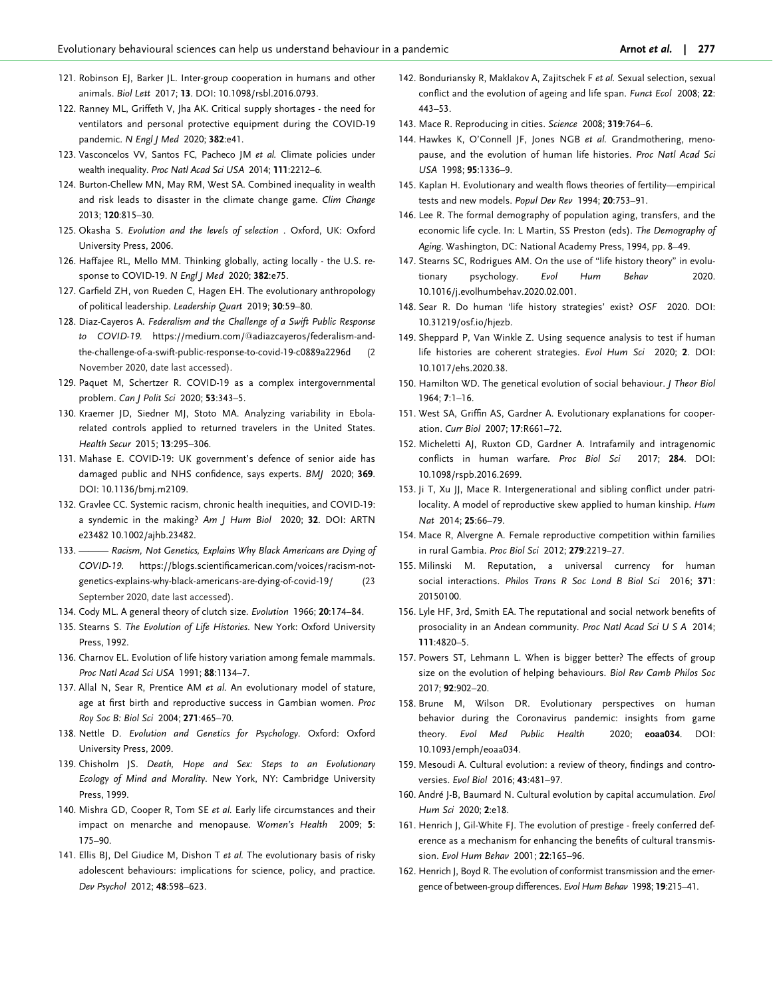- <span id="page-13-0"></span>[121](#page-8-0). Robinson EJ, Barker JL. Inter-group cooperation in humans and other animals. Biol Lett 2017; 13. DOI: 10.1098/rsbl.2016.0793.
- [122](#page-8-0). Ranney ML, Griffeth V, Jha AK. Critical supply shortages the need for ventilators and personal protective equipment during the COVID-19 pandemic. N Engl | Med 2020; 382:e41.
- [123](#page-8-0). Vasconcelos VV, Santos FC, Pacheco JM et al. Climate policies under wealth inequality. Proc Natl Acad Sci USA 2014; 111:2212–6.
- [124](#page-8-0). Burton-Chellew MN, May RM, West SA. Combined inequality in wealth and risk leads to disaster in the climate change game. Clim Change 2013; 120:815–30.
- [125](#page-8-0). Okasha S. Evolution and the levels of selection . Oxford, UK: Oxford University Press, 2006.
- [126](#page-8-0). Haffajee RL, Mello MM. Thinking globally, acting locally the U.S. response to COVID-19. N Engl J Med 2020; 382:e75.
- [127](#page-8-0). Garfield ZH, von Rueden C, Hagen EH. The evolutionary anthropology of political leadership. Leadership Quart 2019; 30:59–80.
- [128](#page-8-0). Diaz-Cayeros A. Federalism and the Challenge of a Swift Public Response to COVID-19. [https://medium.com/](https://medium.com/&hx0040;adiazcayeros/federalism-and-the-challenge-of-a-swift-public-response-to-covid-19-c0889a2296d)@[adiazcayeros/federalism-and](https://medium.com/&hx0040;adiazcayeros/federalism-and-the-challenge-of-a-swift-public-response-to-covid-19-c0889a2296d)[the-challenge-of-a-swift-public-response-to-covid-19-c0889a2296d](https://medium.com/&hx0040;adiazcayeros/federalism-and-the-challenge-of-a-swift-public-response-to-covid-19-c0889a2296d) (2 November 2020, date last accessed).
- [129](#page-9-0). Paquet M, Schertzer R. COVID-19 as a complex intergovernmental problem. Can J Polit Sci 2020; 53:343–5.
- [130](#page-9-0). Kraemer JD, Siedner MJ, Stoto MA. Analyzing variability in Ebolarelated controls applied to returned travelers in the United States. Health Secur 2015; 13:295–306.
- [131](#page-9-0). Mahase E. COVID-19: UK government's defence of senior aide has damaged public and NHS confidence, says experts. BMJ 2020; 369. DOI: 10.1136/bmj.m2109.
- [132](#page-9-0). Gravlee CC. Systemic racism, chronic health inequities, and COVID-19: a syndemic in the making? Am J Hum Biol 2020; 32. DOI: ARTN e23482 10.1002/ajhb.23482.
- [133](#page-9-0). ——— Racism, Not Genetics, Explains Why Black Americans are Dying of COVID-19. [https://blogs.scientificamerican.com/voices/racism-not](https://blogs.scientificamerican.com/voices/racism-not-genetics-explains-why-black-americans-are-dying-of-covid-19/)[genetics-explains-why-black-americans-are-dying-of-covid-19/](https://blogs.scientificamerican.com/voices/racism-not-genetics-explains-why-black-americans-are-dying-of-covid-19/) (23 September 2020, date last accessed).
- [134](#page-2-0). Cody ML. A general theory of clutch size. Evolution 1966; 20:174–84.
- [135](#page-2-0). Stearns S. The Evolution of Life Histories. New York: Oxford University Press, 1992.
- [136](#page-2-0). Charnov EL. Evolution of life history variation among female mammals. Proc Natl Acad Sci USA 1991; 88:1134–7.
- [137](#page-2-0). Allal N, Sear R, Prentice AM et al. An evolutionary model of stature, age at first birth and reproductive success in Gambian women. Proc Roy Soc B: Biol Sci 2004; 271:465–70.
- [138](#page-2-0). Nettle D. Evolution and Genetics for Psychology. Oxford: Oxford University Press, 2009.
- [139](#page-2-0). Chisholm JS. Death, Hope and Sex: Steps to an Evolutionary Ecology of Mind and Morality. New York, NY: Cambridge University Press, 1999.
- [140](#page-2-0). Mishra GD, Cooper R, Tom SE et al. Early life circumstances and their impact on menarche and menopause. Women's Health 2009; 5: 175–90.
- [141](#page-2-0). Ellis BJ, Del Giudice M, Dishon T et al. The evolutionary basis of risky adolescent behaviours: implications for science, policy, and practice. Dev Psychol 2012; 48:598–623.
- [142.](#page-2-0) Bonduriansky R, Maklakov A, Zajitschek F et al. Sexual selection, sexual conflict and the evolution of ageing and life span. Funct Ecol 2008; 22: 443–53.
- [143.](#page-2-0) Mace R. Reproducing in cities. Science 2008; 319:764–6.
- [144.](#page-2-0) Hawkes K, O'Connell JF, Jones NGB et al. Grandmothering, menopause, and the evolution of human life histories. Proc Natl Acad Sci USA 1998; 95:1336–9.
- [145.](#page-2-0) Kaplan H. Evolutionary and wealth flows theories of fertility—empirical tests and new models. Popul Dev Rev 1994; 20:753–91.
- [146.](#page-2-0) Lee R. The formal demography of population aging, transfers, and the economic life cycle. In: L Martin, SS Preston (eds). The Demography of Aging. Washington, DC: National Academy Press, 1994, pp. 8–49.
- [147.](#page-2-0) Stearns SC, Rodrigues AM. On the use of "life history theory" in evolutionary psychology. Evol Hum Behav 2020. 10.1016/j.evolhumbehav.2020.02.001.
- [148.](#page-2-0) Sear R. Do human 'life history strategies' exist? OSF 2020. DOI: 10.31219/osf.io/hjezb.
- [149.](#page-2-0) Sheppard P, Van Winkle Z. Using sequence analysis to test if human life histories are coherent strategies. Evol Hum Sci 2020; 2. DOI: 10.1017/ehs.2020.38.
- [150.](#page-2-0) Hamilton WD. The genetical evolution of social behaviour. *J Theor Biol* 1964; 7:1–16.
- [151.](#page-2-0) West SA, Griffin AS, Gardner A. Evolutionary explanations for cooperation. Curr Biol 2007; 17:R661–72.
- [152.](#page-2-0) Micheletti AJ, Ruxton GD, Gardner A. Intrafamily and intragenomic conflicts in human warfare. Proc Biol Sci 2017; 284. DOI: 10.1098/rspb.2016.2699.
- [153.](#page-2-0) Ji T, Xu JJ, Mace R. Intergenerational and sibling conflict under patrilocality. A model of reproductive skew applied to human kinship. Hum Nat 2014; 25:66–79.
- [154.](#page-2-0) Mace R, Alvergne A. Female reproductive competition within families in rural Gambia. Proc Biol Sci 2012; 279:2219–27.
- [155.](#page-2-0) Milinski M. Reputation, a universal currency for human social interactions. Philos Trans R Soc Lond B Biol Sci 2016; 371: 20150100.
- [156.](#page-2-0) Lyle HF, 3rd, Smith EA. The reputational and social network benefits of prosociality in an Andean community. Proc Natl Acad Sci U S A 2014; 111:4820–5.
- [157.](#page-2-0) Powers ST, Lehmann L. When is bigger better? The effects of group size on the evolution of helping behaviours. Biol Rev Camb Philos Soc 2017; 92:902–20.
- [158.](#page-2-0) Brune M, Wilson DR. Evolutionary perspectives on human behavior during the Coronavirus pandemic: insights from game theory. Evol Med Public Health 2020; eoaa034. DOI: 10.1093/emph/eoaa034.
- [159.](#page-3-0) Mesoudi A. Cultural evolution: a review of theory, findings and controversies. Evol Biol 2016; 43:481–97.
- [160.](#page-3-0) André J-B, Baumard N. Cultural evolution by capital accumulation. Evol Hum Sci 2020; 2:e18.
- [161.](#page-3-0) Henrich J, Gil-White FJ. The evolution of prestige freely conferred deference as a mechanism for enhancing the benefits of cultural transmission. Evol Hum Behav 2001; 22:165–96.
- [162.](#page-3-0) Henrich J, Boyd R. The evolution of conformist transmission and the emergence of between-group differences. Evol Hum Behav 1998; 19:215–41.